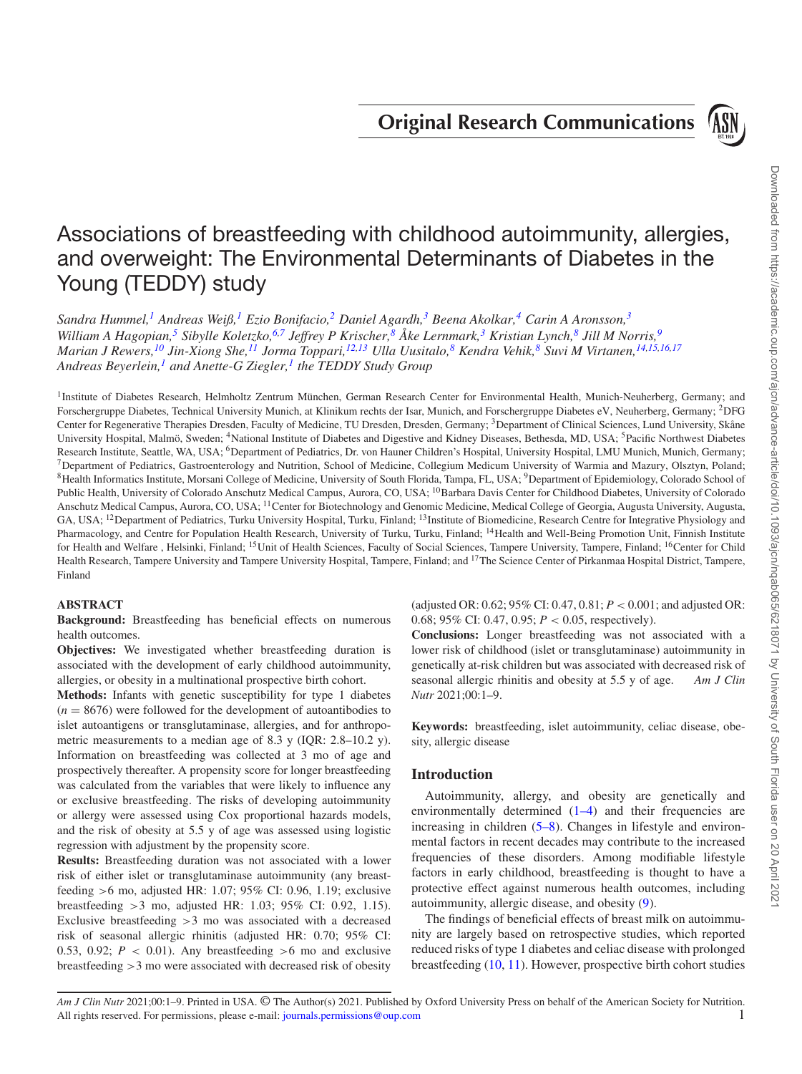**Original Research Communications**

<span id="page-0-1"></span>

# Associations of breastfeeding with childhood autoimmunity, allergies, and overweight: The Environmental Determinants of Diabetes in the Young (TEDDY) study

*Sandra Hummel,[1](#page-0-0) Andreas Weiß,[1](#page-0-0) Ezio Bonifacio[,2](#page-0-1) Daniel Agardh[,3](#page-0-2) Beena Akolkar,[4](#page-0-3) Carin A Aronsson[,3](#page-0-2) William A Hagopian,[5](#page-0-4) Sibylle Koletzko[,6](#page-0-5)[,7](#page-0-6) Jeffrey P Krischer,[8](#page-0-7) Ake Lernmark, ˚ [3](#page-0-2) Kristian Lynch,[8](#page-0-7) Jill M Norris[,9](#page-0-8)* Marian J Rewers,<sup>10</sup> Jin-Xiong She,<sup>11</sup> Jorma Toppari,<sup>[12](#page-0-11)[,13](#page-0-12)</sup> Ulla Uusitalo,<sup>[8](#page-0-7)</sup> Kendra Vehik,<sup>8</sup> Suvi M Virtanen,<sup>14[,15,](#page-0-14)[16,](#page-0-15)[17](#page-0-16)</sup> *Andreas Beyerlein,[1](#page-0-0) and Anette-G Ziegler[,1](#page-0-0) the TEDDY Study Group*

<span id="page-0-7"></span><span id="page-0-6"></span><span id="page-0-5"></span><span id="page-0-3"></span><span id="page-0-0"></span><sup>1</sup>Institute of Diabetes Research, Helmholtz Zentrum München, German Research Center for Environmental Health, Munich-Neuherberg, Germany; and Forschergruppe Diabetes, Technical University Munich, at Klinikum rechts der Isar, Munich, and Forschergruppe Diabetes eV, Neuherberg, Germany; 2DFG Center for Regenerative Therapies Dresden, Faculty of Medicine, TU Dresden, Dresden, Germany; 3Department of Clinical Sciences, Lund University, Skåne University Hospital, Malmö, Sweden; <sup>4</sup>National Institute of Diabetes and Digestive and Kidney Diseases, Bethesda, MD, USA; <sup>5</sup>Pacific Northwest Diabetes Research Institute, Seattle, WA, USA; <sup>6</sup>Department of Pediatrics, Dr. von Hauner Children's Hospital, University Hospital, LMU Munich, Munich, Germany;  $^7$ Department of Pediatrics, Gastroenterology and Nutrition, School of Medicine, Collegium Medicum University of Warmia and Mazury, Olsztyn, Poland; <sup>8</sup>Health Informatics Institute, Morsani College of Medicine, University of South Florida, Tampa, FL, USA; <sup>9</sup>Department of Epidemiology, Colorado School of Public Health, University of Colorado Anschutz Medical Campus, Aurora, CO, USA; <sup>10</sup>Barbara Davis Center for Childhood Diabetes, University of Colorado Anschutz Medical Campus, Aurora, CO, USA; 11Center for Biotechnology and Genomic Medicine, Medical College of Georgia, Augusta University, Augusta, GA, USA; <sup>12</sup> Department of Pediatrics, Turku University Hospital, Turku, Finland; <sup>13</sup>Institute of Biomedicine, Research Centre for Integrative Physiology and Pharmacology, and Centre for Population Health Research, University of Turku, Turku, Finland; <sup>14</sup>Health and Well-Being Promotion Unit, Finnish Institute for Health and Welfare, Helsinki, Finland; <sup>15</sup>Unit of Health Sciences, Faculty of Social Sciences, Tampere University, Tampere, Finland; <sup>16</sup>Center for Child Health Research, Tampere University and Tampere University Hospital, Tampere, Finland; and 17The Science Center of Pirkanmaa Hospital District, Tampere, Finland

## <span id="page-0-11"></span>**ABSTRACT**

**Background:** Breastfeeding has beneficial effects on numerous health outcomes.

**Objectives:** We investigated whether breastfeeding duration is associated with the development of early childhood autoimmunity, allergies, or obesity in a multinational prospective birth cohort.

**Methods:** Infants with genetic susceptibility for type 1 diabetes  $(n = 8676)$  were followed for the development of autoantibodies to islet autoantigens or transglutaminase, allergies, and for anthropometric measurements to a median age of 8.3 y (IQR: 2.8–10.2 y). Information on breastfeeding was collected at 3 mo of age and prospectively thereafter. A propensity score for longer breastfeeding was calculated from the variables that were likely to influence any or exclusive breastfeeding. The risks of developing autoimmunity or allergy were assessed using Cox proportional hazards models, and the risk of obesity at 5.5 y of age was assessed using logistic regression with adjustment by the propensity score.

**Results:** Breastfeeding duration was not associated with a lower risk of either islet or transglutaminase autoimmunity (any breastfeeding >6 mo, adjusted HR: 1.07; 95% CI: 0.96, 1.19; exclusive breastfeeding >3 mo, adjusted HR: 1.03; 95% CI: 0.92, 1.15). Exclusive breastfeeding  $>3$  mo was associated with a decreased risk of seasonal allergic rhinitis (adjusted HR: 0.70; 95% CI: 0.53, 0.92;  $P < 0.01$ ). Any breastfeeding  $>6$  mo and exclusive breastfeeding >3 mo were associated with decreased risk of obesity <span id="page-0-16"></span><span id="page-0-15"></span><span id="page-0-14"></span><span id="page-0-13"></span><span id="page-0-12"></span><span id="page-0-10"></span><span id="page-0-9"></span><span id="page-0-8"></span><span id="page-0-4"></span><span id="page-0-2"></span>(adjusted OR: 0.62; 95% CI: 0.47, 0.81; *P* < 0.001; and adjusted OR: 0.68; 95% CI: 0.47, 0.95; *P* < 0.05, respectively).

**Conclusions:** Longer breastfeeding was not associated with a lower risk of childhood (islet or transglutaminase) autoimmunity in genetically at-risk children but was associated with decreased risk of seasonal allergic rhinitis and obesity at 5.5 y of age. *Am J Clin Nutr* 2021;00:1–9.

**Keywords:** breastfeeding, islet autoimmunity, celiac disease, obesity, allergic disease

## **Introduction**

Autoimmunity, allergy, and obesity are genetically and environmentally determined  $(1-4)$  and their frequencies are increasing in children [\(5–8\)](#page-7-1). Changes in lifestyle and environmental factors in recent decades may contribute to the increased frequencies of these disorders. Among modifiable lifestyle factors in early childhood, breastfeeding is thought to have a protective effect against numerous health outcomes, including autoimmunity, allergic disease, and obesity [\(9\)](#page-7-2).

The findings of beneficial effects of breast milk on autoimmunity are largely based on retrospective studies, which reported reduced risks of type 1 diabetes and celiac disease with prolonged breastfeeding [\(10,](#page-7-3) [11\)](#page-7-4). However, prospective birth cohort studies

*Am J Clin Nutr* 2021;00:1–9. Printed in USA. © The Author(s) 2021. Published by Oxford University Press on behalf of the American Society for Nutrition. All rights reserved. For permissions, please e-mail: [journals.permissions@oup.com](mailto:journals.permissions@oup.com) 1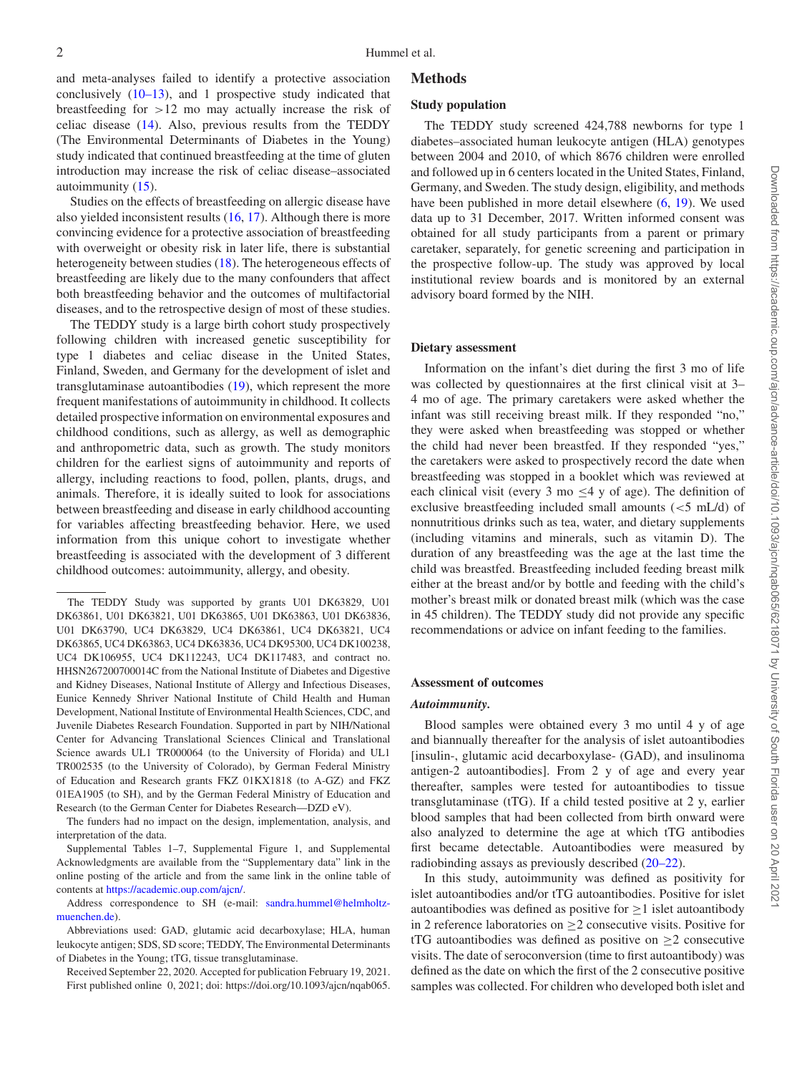and meta-analyses failed to identify a protective association conclusively [\(10–13\)](#page-7-3), and 1 prospective study indicated that breastfeeding for  $>12$  mo may actually increase the risk of celiac disease [\(14\)](#page-7-5). Also, previous results from the TEDDY (The Environmental Determinants of Diabetes in the Young) study indicated that continued breastfeeding at the time of gluten introduction may increase the risk of celiac disease–associated autoimmunity [\(15\)](#page-7-6).

Studies on the effects of breastfeeding on allergic disease have also yielded inconsistent results [\(16,](#page-7-7) [17\)](#page-7-8). Although there is more convincing evidence for a protective association of breastfeeding with overweight or obesity risk in later life, there is substantial heterogeneity between studies [\(18\)](#page-7-9). The heterogeneous effects of breastfeeding are likely due to the many confounders that affect both breastfeeding behavior and the outcomes of multifactorial diseases, and to the retrospective design of most of these studies.

The TEDDY study is a large birth cohort study prospectively following children with increased genetic susceptibility for type 1 diabetes and celiac disease in the United States, Finland, Sweden, and Germany for the development of islet and transglutaminase autoantibodies [\(19\)](#page-8-0), which represent the more frequent manifestations of autoimmunity in childhood. It collects detailed prospective information on environmental exposures and childhood conditions, such as allergy, as well as demographic and anthropometric data, such as growth. The study monitors children for the earliest signs of autoimmunity and reports of allergy, including reactions to food, pollen, plants, drugs, and animals. Therefore, it is ideally suited to look for associations between breastfeeding and disease in early childhood accounting for variables affecting breastfeeding behavior. Here, we used information from this unique cohort to investigate whether breastfeeding is associated with the development of 3 different childhood outcomes: autoimmunity, allergy, and obesity.

#### **Methods**

#### **Study population**

The TEDDY study screened 424,788 newborns for type 1 diabetes–associated human leukocyte antigen (HLA) genotypes between 2004 and 2010, of which 8676 children were enrolled and followed up in 6 centers located in the United States, Finland, Germany, and Sweden. The study design, eligibility, and methods have been published in more detail elsewhere [\(6,](#page-7-10) [19\)](#page-8-0). We used data up to 31 December, 2017. Written informed consent was obtained for all study participants from a parent or primary caretaker, separately, for genetic screening and participation in the prospective follow-up. The study was approved by local institutional review boards and is monitored by an external advisory board formed by the NIH.

#### **Dietary assessment**

Information on the infant's diet during the first 3 mo of life was collected by questionnaires at the first clinical visit at 3– 4 mo of age. The primary caretakers were asked whether the infant was still receiving breast milk. If they responded "no," they were asked when breastfeeding was stopped or whether the child had never been breastfed. If they responded "yes," the caretakers were asked to prospectively record the date when breastfeeding was stopped in a booklet which was reviewed at each clinical visit (every 3 mo  $\leq$ 4 y of age). The definition of exclusive breastfeeding included small amounts (<5 mL/d) of nonnutritious drinks such as tea, water, and dietary supplements (including vitamins and minerals, such as vitamin D). The duration of any breastfeeding was the age at the last time the child was breastfed. Breastfeeding included feeding breast milk either at the breast and/or by bottle and feeding with the child's mother's breast milk or donated breast milk (which was the case in 45 children). The TEDDY study did not provide any specific recommendations or advice on infant feeding to the families.

#### **Assessment of outcomes**

#### *Autoimmunity.*

Blood samples were obtained every 3 mo until 4 y of age and biannually thereafter for the analysis of islet autoantibodies [insulin-, glutamic acid decarboxylase- (GAD), and insulinoma antigen-2 autoantibodies]. From 2 y of age and every year thereafter, samples were tested for autoantibodies to tissue transglutaminase (tTG). If a child tested positive at 2 y, earlier blood samples that had been collected from birth onward were also analyzed to determine the age at which tTG antibodies first became detectable. Autoantibodies were measured by radiobinding assays as previously described [\(20–22\)](#page-8-1).

In this study, autoimmunity was defined as positivity for islet autoantibodies and/or tTG autoantibodies. Positive for islet autoantibodies was defined as positive for  $\geq 1$  islet autoantibody in 2 reference laboratories on  $\geq$  2 consecutive visits. Positive for tTG autoantibodies was defined as positive on  $\geq 2$  consecutive visits. The date of seroconversion (time to first autoantibody) was defined as the date on which the first of the 2 consecutive positive samples was collected. For children who developed both islet and

The TEDDY Study was supported by grants U01 DK63829, U01 DK63861, U01 DK63821, U01 DK63865, U01 DK63863, U01 DK63836, U01 DK63790, UC4 DK63829, UC4 DK63861, UC4 DK63821, UC4 DK63865, UC4 DK63863, UC4 DK63836, UC4 DK95300, UC4 DK100238, UC4 DK106955, UC4 DK112243, UC4 DK117483, and contract no. HHSN267200700014C from the National Institute of Diabetes and Digestive and Kidney Diseases, National Institute of Allergy and Infectious Diseases, Eunice Kennedy Shriver National Institute of Child Health and Human Development, National Institute of Environmental Health Sciences, CDC, and Juvenile Diabetes Research Foundation. Supported in part by NIH/National Center for Advancing Translational Sciences Clinical and Translational Science awards UL1 TR000064 (to the University of Florida) and UL1 TR002535 (to the University of Colorado), by German Federal Ministry of Education and Research grants FKZ 01KX1818 (to A-GZ) and FKZ 01EA1905 (to SH), and by the German Federal Ministry of Education and Research (to the German Center for Diabetes Research—DZD eV).

The funders had no impact on the design, implementation, analysis, and interpretation of the data.

Supplemental Tables 1–7, Supplemental Figure 1, and Supplemental Acknowledgments are available from the "Supplementary data" link in the online posting of the article and from the same link in the online table of contents at [https://academic.oup.com/ajcn/.](https://academic.oup.com/ajcn/)

[Address correspondence to SH \(e-mail:](mailto:sandra.hummel@helmholtz-muenchen.de) sandra.hummel@helmholtzmuenchen.de).

Abbreviations used: GAD, glutamic acid decarboxylase; HLA, human leukocyte antigen; SDS, SD score; TEDDY, The Environmental Determinants of Diabetes in the Young; tTG, tissue transglutaminase.

Received September 22, 2020. Accepted for publication February 19, 2021. First published online 0, 2021; doi: https://doi.org/10.1093/ajcn/nqab065.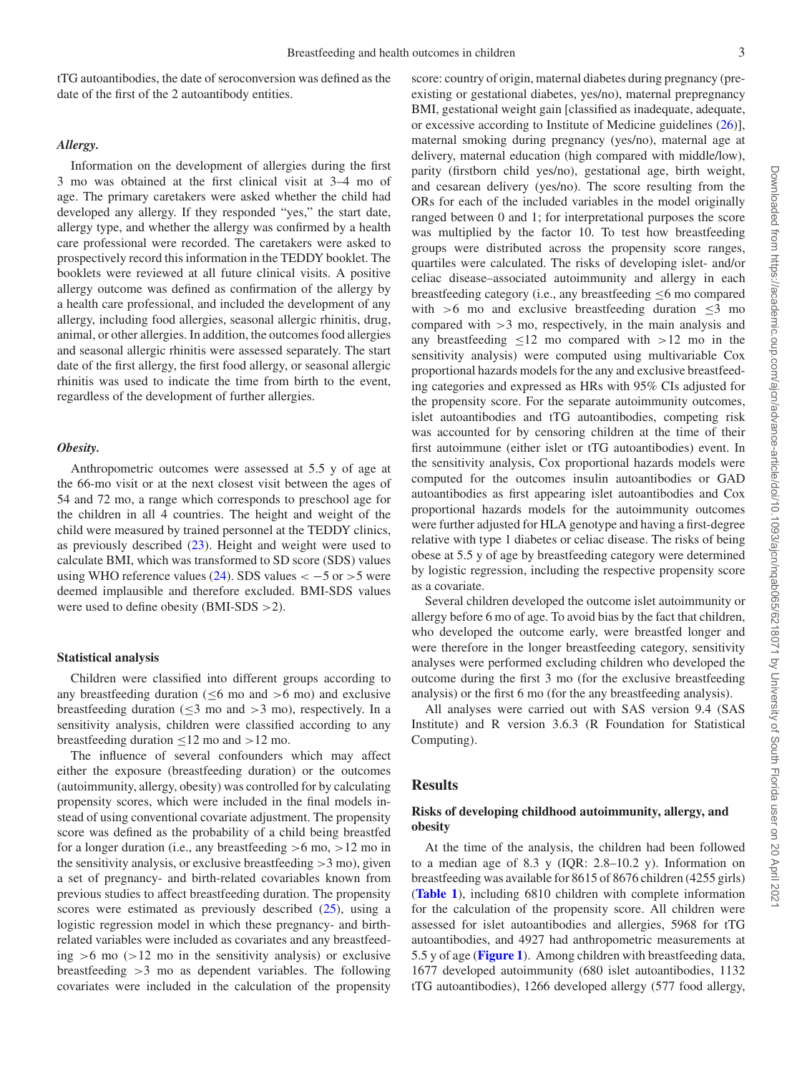tTG autoantibodies, the date of seroconversion was defined as the date of the first of the 2 autoantibody entities.

#### *Allergy.*

Information on the development of allergies during the first 3 mo was obtained at the first clinical visit at 3–4 mo of age. The primary caretakers were asked whether the child had developed any allergy. If they responded "yes," the start date, allergy type, and whether the allergy was confirmed by a health care professional were recorded. The caretakers were asked to prospectively record this information in the TEDDY booklet. The booklets were reviewed at all future clinical visits. A positive allergy outcome was defined as confirmation of the allergy by a health care professional, and included the development of any allergy, including food allergies, seasonal allergic rhinitis, drug, animal, or other allergies. In addition, the outcomes food allergies and seasonal allergic rhinitis were assessed separately. The start date of the first allergy, the first food allergy, or seasonal allergic rhinitis was used to indicate the time from birth to the event, regardless of the development of further allergies.

### *Obesity.*

Anthropometric outcomes were assessed at 5.5 y of age at the 66-mo visit or at the next closest visit between the ages of 54 and 72 mo, a range which corresponds to preschool age for the children in all 4 countries. The height and weight of the child were measured by trained personnel at the TEDDY clinics, as previously described [\(23\)](#page-8-2). Height and weight were used to calculate BMI, which was transformed to SD score (SDS) values using WHO reference values [\(24\)](#page-8-3). SDS values  $<-5$  or  $>5$  were deemed implausible and therefore excluded. BMI-SDS values were used to define obesity (BMI-SDS >2).

#### **Statistical analysis**

Children were classified into different groups according to any breastfeeding duration ( $\leq 6$  mo and  $> 6$  mo) and exclusive breastfeeding duration ( $\leq$ 3 mo and  $>$ 3 mo), respectively. In a sensitivity analysis, children were classified according to any breastfeeding duration  $\leq 12$  mo and  $>12$  mo.

The influence of several confounders which may affect either the exposure (breastfeeding duration) or the outcomes (autoimmunity, allergy, obesity) was controlled for by calculating propensity scores, which were included in the final models instead of using conventional covariate adjustment. The propensity score was defined as the probability of a child being breastfed for a longer duration (i.e., any breastfeeding  $>6$  mo,  $>12$  mo in the sensitivity analysis, or exclusive breastfeeding  $>3$  mo), given a set of pregnancy- and birth-related covariables known from previous studies to affect breastfeeding duration. The propensity scores were estimated as previously described [\(25\)](#page-8-4), using a logistic regression model in which these pregnancy- and birthrelated variables were included as covariates and any breastfeeding  $>6$  mo ( $>12$  mo in the sensitivity analysis) or exclusive breastfeeding >3 mo as dependent variables. The following covariates were included in the calculation of the propensity

score: country of origin, maternal diabetes during pregnancy (preexisting or gestational diabetes, yes/no), maternal prepregnancy BMI, gestational weight gain [classified as inadequate, adequate, or excessive according to Institute of Medicine guidelines [\(26\)](#page-8-5)], maternal smoking during pregnancy (yes/no), maternal age at delivery, maternal education (high compared with middle/low), parity (firstborn child yes/no), gestational age, birth weight, and cesarean delivery (yes/no). The score resulting from the ORs for each of the included variables in the model originally ranged between 0 and 1; for interpretational purposes the score was multiplied by the factor 10. To test how breastfeeding groups were distributed across the propensity score ranges, quartiles were calculated. The risks of developing islet- and/or celiac disease–associated autoimmunity and allergy in each breastfeeding category (i.e., any breastfeeding  $\leq 6$  mo compared with  $>6$  mo and exclusive breastfeeding duration  $\leq$ 3 mo compared with  $>3$  mo, respectively, in the main analysis and any breastfeeding  $\leq 12$  mo compared with  $>12$  mo in the sensitivity analysis) were computed using multivariable Cox proportional hazards models for the any and exclusive breastfeeding categories and expressed as HRs with 95% CIs adjusted for the propensity score. For the separate autoimmunity outcomes, islet autoantibodies and tTG autoantibodies, competing risk was accounted for by censoring children at the time of their first autoimmune (either islet or tTG autoantibodies) event. In the sensitivity analysis, Cox proportional hazards models were computed for the outcomes insulin autoantibodies or GAD autoantibodies as first appearing islet autoantibodies and Cox proportional hazards models for the autoimmunity outcomes were further adjusted for HLA genotype and having a first-degree relative with type 1 diabetes or celiac disease. The risks of being obese at 5.5 y of age by breastfeeding category were determined by logistic regression, including the respective propensity score as a covariate.

Several children developed the outcome islet autoimmunity or allergy before 6 mo of age. To avoid bias by the fact that children, who developed the outcome early, were breastfed longer and were therefore in the longer breastfeeding category, sensitivity analyses were performed excluding children who developed the outcome during the first 3 mo (for the exclusive breastfeeding analysis) or the first 6 mo (for the any breastfeeding analysis).

All analyses were carried out with SAS version 9.4 (SAS Institute) and R version 3.6.3 (R Foundation for Statistical Computing).

#### **Results**

## **Risks of developing childhood autoimmunity, allergy, and obesity**

At the time of the analysis, the children had been followed to a median age of 8.3 y (IQR: 2.8–10.2 y). Information on breastfeeding was available for 8615 of 8676 children (4255 girls) (**[Table 1](#page-3-0)**), including 6810 children with complete information for the calculation of the propensity score. All children were assessed for islet autoantibodies and allergies, 5968 for tTG autoantibodies, and 4927 had anthropometric measurements at 5.5 y of age (**[Figure 1](#page-3-1)**). Among children with breastfeeding data, 1677 developed autoimmunity (680 islet autoantibodies, 1132 tTG autoantibodies), 1266 developed allergy (577 food allergy,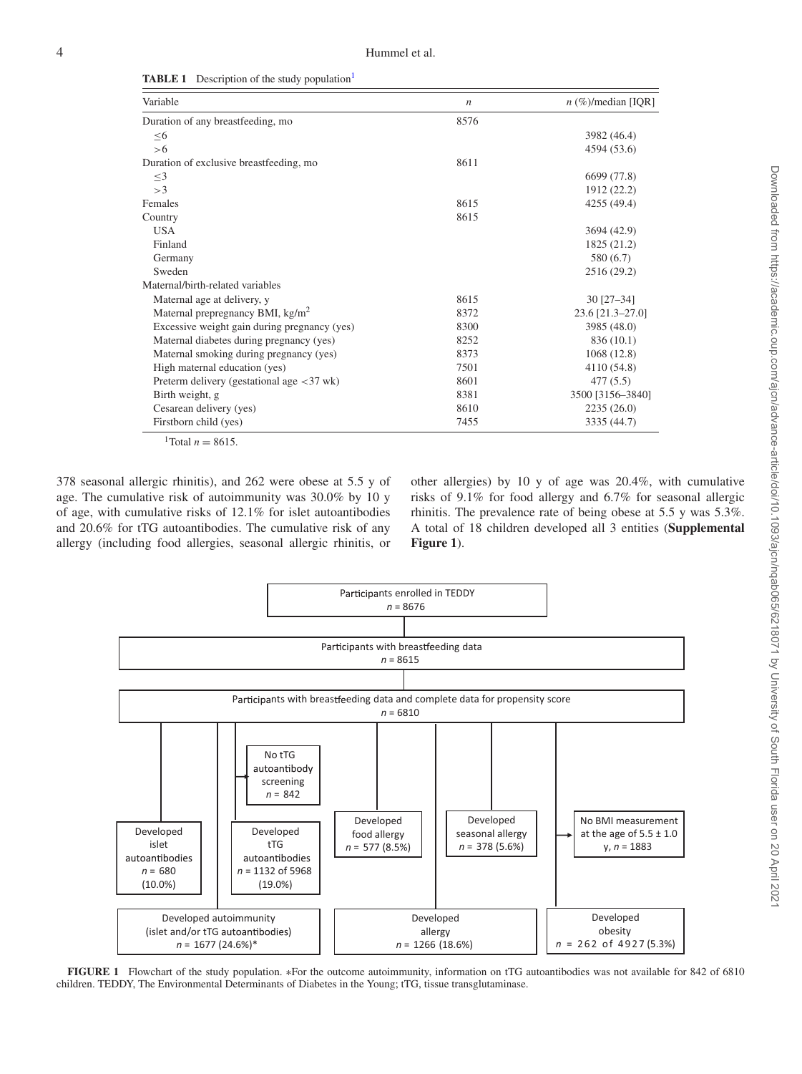<span id="page-3-0"></span>

| <b>TABLE 1</b> | Description of the study population <sup>1</sup> |  |  |
|----------------|--------------------------------------------------|--|--|
|                |                                                  |  |  |

| Variable                                                            | $\boldsymbol{n}$ | $n$ (%)/median [IQR] |
|---------------------------------------------------------------------|------------------|----------------------|
| Duration of any breastfeeding, mo                                   | 8576             |                      |
| $\leq 6$                                                            |                  | 3982 (46.4)          |
| >6                                                                  |                  | 4594 (53.6)          |
| Duration of exclusive breastfeeding, mo                             | 8611             |                      |
| $\leq$ 3                                                            |                  | 6699 (77.8)          |
| >3                                                                  |                  | 1912 (22.2)          |
| Females                                                             | 8615             | 4255 (49.4)          |
| Country                                                             | 8615             |                      |
| <b>USA</b>                                                          |                  | 3694 (42.9)          |
| Finland                                                             |                  | 1825 (21.2)          |
| Germany                                                             |                  | 580 (6.7)            |
| Sweden                                                              |                  | 2516 (29.2)          |
| Maternal/birth-related variables                                    |                  |                      |
| Maternal age at delivery, y                                         | 8615             | $30$ [27-34]         |
| Maternal prepregnancy BMI, $\text{kg/m}^2$                          | 8372             | 23.6 [21.3-27.0]     |
| Excessive weight gain during pregnancy (yes)                        | 8300             | 3985 (48.0)          |
| Maternal diabetes during pregnancy (yes)                            | 8252             | 836 (10.1)           |
| Maternal smoking during pregnancy (yes)                             | 8373             | 1068 (12.8)          |
| High maternal education (yes)                                       | 7501             | 4110 (54.8)          |
| Preterm delivery (gestational age $\langle 37 \text{ wk} \rangle$ ) | 8601             | 477(5.5)             |
| Birth weight, g                                                     | 8381             | 3500 [3156-3840]     |
| Cesarean delivery (yes)                                             | 8610             | 2235(26.0)           |
| Firstborn child (yes)<br><b>CONTENT</b>                             | 7455             | 3335 (44.7)          |

 $^{1}$ Total *n* = 8615.

<span id="page-3-2"></span>378 seasonal allergic rhinitis), and 262 were obese at 5.5 y of age. The cumulative risk of autoimmunity was 30.0% by 10 y of age, with cumulative risks of 12.1% for islet autoantibodies and 20.6% for tTG autoantibodies. The cumulative risk of any allergy (including food allergies, seasonal allergic rhinitis, or other allergies) by 10 y of age was 20.4%, with cumulative risks of 9.1% for food allergy and 6.7% for seasonal allergic rhinitis. The prevalence rate of being obese at 5.5 y was 5.3%. A total of 18 children developed all 3 entities (**Supplemental Figure 1**).

<span id="page-3-1"></span>

**FIGURE 1** Flowchart of the study population. ∗For the outcome autoimmunity, information on tTG autoantibodies was not available for 842 of 6810 children. TEDDY, The Environmental Determinants of Diabetes in the Young; tTG, tissue transglutaminase.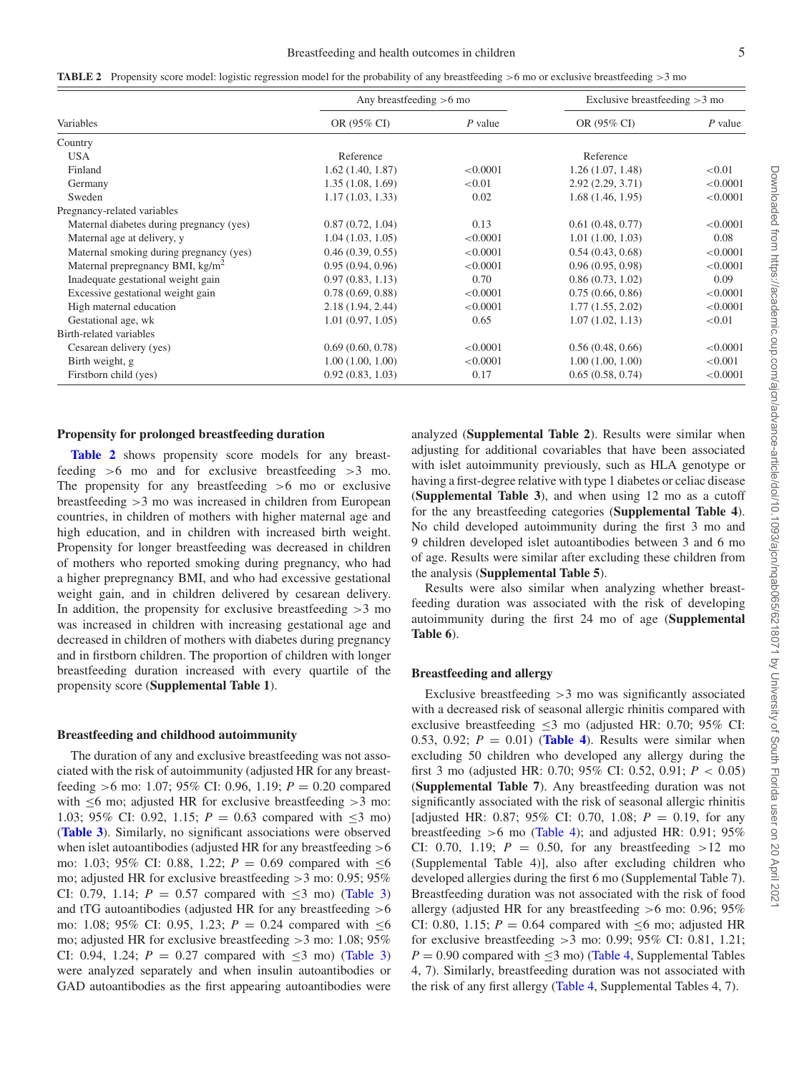<span id="page-4-0"></span>

|  | <b>TABLE 2</b> Propensity score model: logistic regression model for the probability of any breastfeeding $>6$ mo or exclusive breastfeeding $>3$ mo |  |  |
|--|------------------------------------------------------------------------------------------------------------------------------------------------------|--|--|
|  |                                                                                                                                                      |  |  |

|                                            | Any breastfeeding $>6$ mo |           | Exclusive breastfeeding $>3$ mo |           |  |
|--------------------------------------------|---------------------------|-----------|---------------------------------|-----------|--|
| Variables                                  | OR (95% CI)               | $P$ value | OR (95% CI)                     | $P$ value |  |
| Country                                    |                           |           |                                 |           |  |
| <b>USA</b>                                 | Reference                 |           | Reference                       |           |  |
| Finland                                    | 1.62(1.40, 1.87)          | < 0.0001  | 1.26(1.07, 1.48)                | < 0.01    |  |
| Germany                                    | 1.35(1.08, 1.69)          | ${<}0.01$ | 2.92(2.29, 3.71)                | < 0.0001  |  |
| Sweden                                     | 1.17(1.03, 1.33)          | 0.02      | 1.68(1.46, 1.95)                | < 0.0001  |  |
| Pregnancy-related variables                |                           |           |                                 |           |  |
| Maternal diabetes during pregnancy (yes)   | 0.87(0.72, 1.04)          | 0.13      | 0.61(0.48, 0.77)                | < 0.0001  |  |
| Maternal age at delivery, y                | 1.04(1.03, 1.05)          | < 0.0001  | 1.01(1.00, 1.03)                | 0.08      |  |
| Maternal smoking during pregnancy (yes)    | 0.46(0.39, 0.55)          | < 0.0001  | 0.54(0.43, 0.68)                | < 0.0001  |  |
| Maternal prepregnancy BMI, $\text{kg/m}^2$ | 0.95(0.94, 0.96)          | < 0.0001  | 0.96(0.95, 0.98)                | < 0.0001  |  |
| Inadequate gestational weight gain         | 0.97(0.83, 1.13)          | 0.70      | 0.86(0.73, 1.02)                | 0.09      |  |
| Excessive gestational weight gain          | 0.78(0.69, 0.88)          | < 0.0001  | 0.75(0.66, 0.86)                | < 0.0001  |  |
| High maternal education                    | 2.18(1.94, 2.44)          | < 0.0001  | 1.77(1.55, 2.02)                | < 0.0001  |  |
| Gestational age, wk                        | 1.01(0.97, 1.05)          | 0.65      | 1.07(1.02, 1.13)                | < 0.01    |  |
| Birth-related variables                    |                           |           |                                 |           |  |
| Cesarean delivery (yes)                    | 0.69(0.60, 0.78)          | < 0.0001  | 0.56(0.48, 0.66)                | < 0.0001  |  |
| Birth weight, g                            | 1.00(1.00, 1.00)          | < 0.0001  | 1.00(1.00, 1.00)                | < 0.001   |  |
| Firstborn child (yes)                      | 0.92(0.83, 1.03)          | 0.17      | 0.65(0.58, 0.74)                | < 0.0001  |  |

#### **Propensity for prolonged breastfeeding duration**

**[Table 2](#page-4-0)** shows propensity score models for any breastfeeding >6 mo and for exclusive breastfeeding >3 mo. The propensity for any breastfeeding  $>6$  mo or exclusive breastfeeding >3 mo was increased in children from European countries, in children of mothers with higher maternal age and high education, and in children with increased birth weight. Propensity for longer breastfeeding was decreased in children of mothers who reported smoking during pregnancy, who had a higher prepregnancy BMI, and who had excessive gestational weight gain, and in children delivered by cesarean delivery. In addition, the propensity for exclusive breastfeeding  $>3$  mo was increased in children with increasing gestational age and decreased in children of mothers with diabetes during pregnancy and in firstborn children. The proportion of children with longer breastfeeding duration increased with every quartile of the propensity score (**Supplemental Table 1**).

#### **Breastfeeding and childhood autoimmunity**

The duration of any and exclusive breastfeeding was not associated with the risk of autoimmunity (adjusted HR for any breastfeeding >6 mo: 1.07; 95% CI: 0.96, 1.19; *P* = 0.20 compared with  $\leq 6$  mo; adjusted HR for exclusive breastfeeding  $> 3$  mo: 1.03; 95% CI: 0.92, 1.15;  $P = 0.63$  compared with  $\leq 3$  mo) (**[Table 3](#page-5-0)**). Similarly, no significant associations were observed when islet autoantibodies (adjusted HR for any breastfeeding  $>6$ mo: 1.03; 95% CI: 0.88, 1.22; *P* = 0.69 compared with ≤6 mo; adjusted HR for exclusive breastfeeding >3 mo: 0.95; 95% CI: 0.79, 1.14;  $P = 0.57$  compared with  $\leq 3$  mo) [\(Table 3\)](#page-5-0) and tTG autoantibodies (adjusted HR for any breastfeeding >6 mo: 1.08; 95% CI: 0.95, 1.23;  $P = 0.24$  compared with  $\leq 6$ mo; adjusted HR for exclusive breastfeeding >3 mo: 1.08; 95% CI: 0.94, 1.24;  $P = 0.27$  compared with <3 mo) [\(Table 3\)](#page-5-0) were analyzed separately and when insulin autoantibodies or GAD autoantibodies as the first appearing autoantibodies were analyzed (**Supplemental Table 2**). Results were similar when adjusting for additional covariables that have been associated with islet autoimmunity previously, such as HLA genotype or having a first-degree relative with type 1 diabetes or celiac disease (**Supplemental Table 3**), and when using 12 mo as a cutoff for the any breastfeeding categories (**Supplemental Table 4**). No child developed autoimmunity during the first 3 mo and 9 children developed islet autoantibodies between 3 and 6 mo of age. Results were similar after excluding these children from the analysis (**Supplemental Table 5**).

Results were also similar when analyzing whether breastfeeding duration was associated with the risk of developing autoimmunity during the first 24 mo of age (**Supplemental Table 6**).

## **Breastfeeding and allergy**

Exclusive breastfeeding  $>3$  mo was significantly associated with a decreased risk of seasonal allergic rhinitis compared with exclusive breastfeeding  $\leq$ 3 mo (adjusted HR: 0.70; 95% CI: 0.53, 0.92;  $P = 0.01$ ) (**[Table 4](#page-6-0)**). Results were similar when excluding 50 children who developed any allergy during the first 3 mo (adjusted HR: 0.70; 95% CI: 0.52, 0.91; *P* < 0.05) (**Supplemental Table 7**). Any breastfeeding duration was not significantly associated with the risk of seasonal allergic rhinitis [adjusted HR: 0.87; 95% CI: 0.70, 1.08;  $P = 0.19$ , for any breastfeeding  $>6$  mo [\(Table 4\)](#page-6-0); and adjusted HR: 0.91; 95% CI: 0.70, 1.19;  $P = 0.50$ , for any breastfeeding  $>12$  mo (Supplemental Table 4)], also after excluding children who developed allergies during the first 6 mo (Supplemental Table 7). Breastfeeding duration was not associated with the risk of food allergy (adjusted HR for any breastfeeding >6 mo: 0.96; 95% CI: 0.80, 1.15;  $P = 0.64$  compared with  $\leq 6$  mo; adjusted HR for exclusive breastfeeding >3 mo: 0.99; 95% CI: 0.81, 1.21;  $P = 0.90$  compared with  $\leq 3$  mo) [\(Table 4,](#page-6-0) Supplemental Tables 4, 7). Similarly, breastfeeding duration was not associated with the risk of any first allergy [\(Table 4,](#page-6-0) Supplemental Tables 4, 7).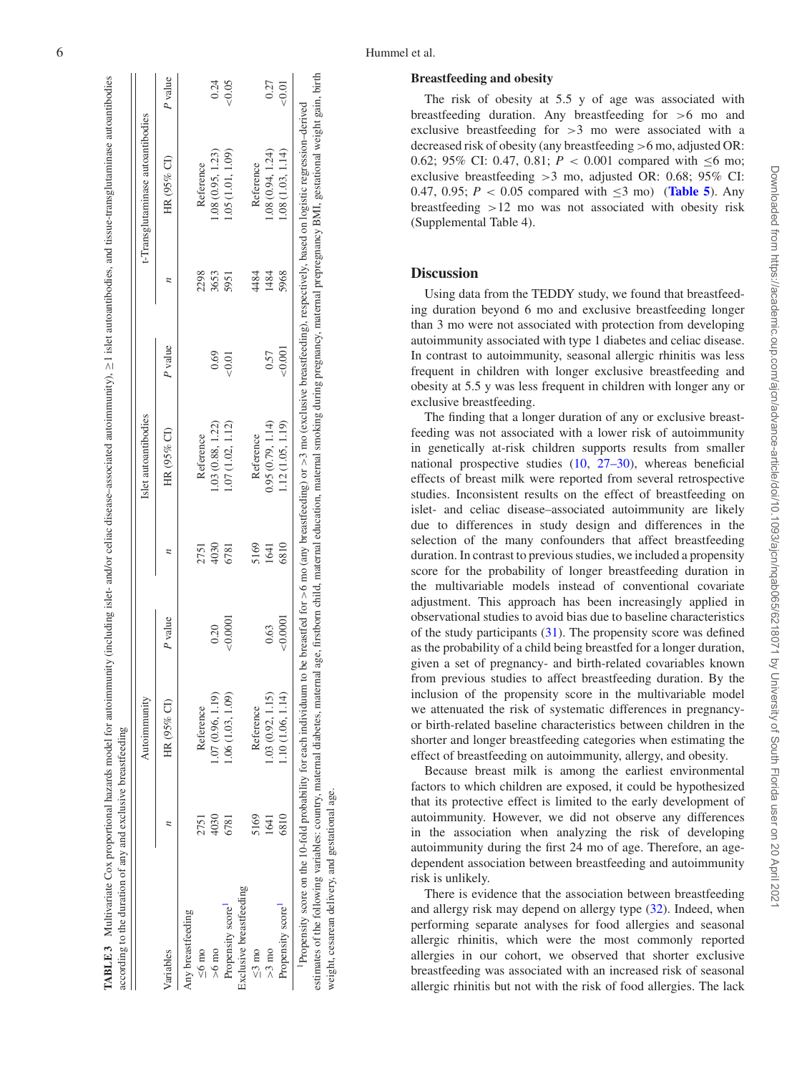|                         |      | Autoimmunity      |          |                 | Islet autoantibodies |         |      | t-Transglutaminase autoantibodies |         |
|-------------------------|------|-------------------|----------|-----------------|----------------------|---------|------|-----------------------------------|---------|
| Variables               |      | HR (95% CI)       | P value  |                 | HR (95% CI)          | P value |      | HR (95% CI)                       | P value |
| Any breastfeeding       |      |                   |          |                 |                      |         |      |                                   |         |
| $\leq 6$ mo             | 2751 | Reference         |          | 2751            | Reference            |         | 2298 | Reference                         |         |
| $>6 \text{ mo}$         | 4030 | 1.07(0.96, 1.19)  | 0.20     | 4030            | 1.03(0.88, 1.22)     | 0.69    | 3653 | 1.08 (0.95, 1.23)                 | 0.24    |
| Propensity score        | 6781 | 1.06(1.03, 1.09)  | < 0.0001 | 6781            | 1.07(1.02, 1.12)     | 0.01    | 5951 | 1.05(1.01, 1.09)                  | &0.05   |
| Exclusive breastfeeding |      |                   |          |                 |                      |         |      |                                   |         |
| $\leq$ 3 mo             | 5169 | Reference         |          | 5169            | Reference            |         | 4484 | Reference                         |         |
| $>3 \text{ mo}$         | ड    | 1.03 (0.92, 1.15) | 0.63     | $\overline{41}$ | 0.95(0.79, 1.14)     | 0.57    | 1484 | 1.08 (0.94, 1.24)                 | 0.27    |
| Propensity score        | 6810 | 1.10 (1.06, 1.14) | 0.0001   | 6810            | 1.12(1.05, 1.19)     | &0.001  | 5968 | 1.08(1.03, 1.14)                  | < 0.01  |

#### **Breastfeeding and obesity**

The risk of obesity at 5.5 y of age was associated with breastfeeding duration. Any breastfeeding for >6 mo and exclusive breastfeeding for >3 mo were associated with a decreased risk of obesity (any breastfeeding >6 mo, adjusted OR: 0.62; 95% CI: 0.47, 0.81;  $P < 0.001$  compared with  $\leq 6$  mo; exclusive breastfeeding >3 mo, adjusted OR: 0.68; 95% CI: 0.47, 0.95;  $P < 0.05$  compared with  $\leq 3$  mo) (**[Table 5](#page-6-1)**). Any breastfeeding >12 mo was not associated with obesity risk (Supplemental Table 4).

## **Discussion**

Using data from the TEDDY study, we found that breastfeeding duration beyond 6 mo and exclusive breastfeeding longer than 3 mo were not associated with protection from developing autoimmunity associated with type 1 diabetes and celiac disease. In contrast to autoimmunity, seasonal allergic rhinitis was less frequent in children with longer exclusive breastfeeding and obesity at 5.5 y was less frequent in children with longer any or exclusive breastfeeding.

The finding that a longer duration of any or exclusive breastfeeding was not associated with a lower risk of autoimmunity in genetically at-risk children supports results from smaller national prospective studies [\(10](#page-7-3) , [27–30\)](#page-8-6), whereas beneficial effects of breast milk were reported from several retrospective studies. Inconsistent results on the effect of breastfeeding on islet- and celiac disease–associated autoimmunity are likely due to differences in study design and differences in the selection of the many confounders that affect breastfeeding duration. In contrast to previous studies, we included a propensity score for the probability of longer breastfeeding duration in the multivariable models instead of conventional covariate adjustment. This approach has been increasingly applied in observational studies to avoid bias due to baseline characteristics of the study participants [\(31\)](#page-8-7). The propensity score was defined as the probability of a child being breastfed for a longer duration, given a set of pregnancy- and birth-related covariables known from previous studies to affect breastfeeding duration. By the inclusion of the propensity score in the multivariable model we attenuated the risk of systematic differences in pregnancyor birth-related baseline characteristics between children in the shorter and longer breastfeeding categories when estimating the effect of breastfeeding on autoimmunity, allergy, and obesity.

Because breast milk is among the earliest environmental factors to which children are exposed, it could be hypothesized that its protective effect is limited to the early development of autoimmunity. However, we did not observe any differences in the association when analyzing the risk of developing autoimmunity during the first 24 mo of age. Therefore, an agedependent association between breastfeeding and autoimmunity risk is unlikely.

<span id="page-5-1"></span><span id="page-5-0"></span>There is evidence that the association between breastfeeding and allergy risk may depend on allergy type [\(32\)](#page-8-8). Indeed, when performing separate analyses for food allergies and seasonal allergic rhinitis, which were the most commonly reported allergies in our cohort, we observed that shorter exclusive breastfeeding was associated with an increased risk of seasonal allergic rhinitis but not with the risk of food allergies. The lack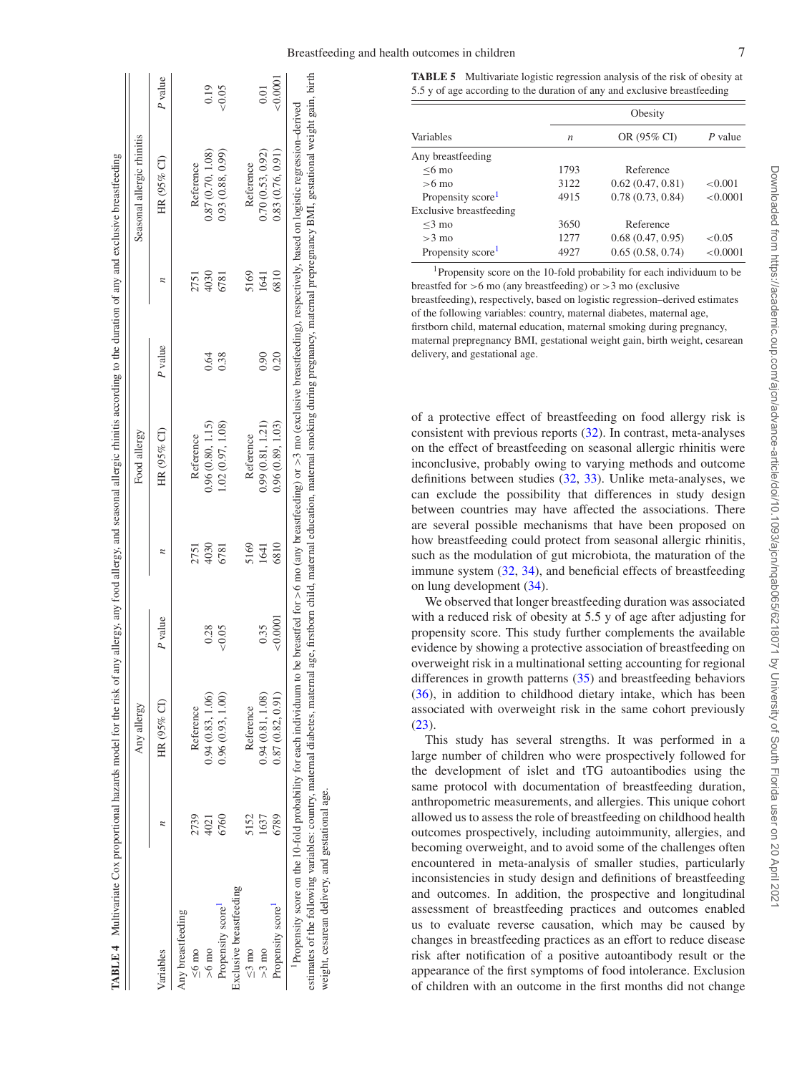|                                                           |         |      | Food allergy     |         |      | Seasonal allergic rhinitis |         |
|-----------------------------------------------------------|---------|------|------------------|---------|------|----------------------------|---------|
| HR (95% CI)<br>Variables                                  | P value |      | HR (95% CI)      | P value |      | HR (95% CI)                | P value |
| Any breastfeeding                                         |         |      |                  |         |      |                            |         |
| Reference<br>2739<br>$\leq 6$ mo                          |         | 2751 | Reference        |         | 2751 | Reference                  |         |
| 0.94(0.83, 1.06)<br>4021<br>$>6 \text{ mo}$               | 0.28    | 4030 | 0.96(0.80, 1.15) | 0.64    | 4030 | 0.87(0.70, 1.08)           | 0.19    |
| 0.96(0.93, 1.00)<br>6760<br>Propensity score <sup>1</sup> | 0.05    | 6781 | 1.02(0.97, 1.08) | 0.38    | 6781 | 0.93(0.88, 0.99)           | &0.05   |
| Exclusive breastfeeding                                   |         |      |                  |         |      |                            |         |
| Reference<br>5152<br>$\leq$ 3 mo                          |         | 5169 | Reference        |         | 5169 | Reference                  |         |
| 0.94(0.81, 1.08)<br>1637<br>$>3 \text{ mo}$               | 0.35    | 1641 | 0.99(0.81, 1.21) | 0.90    | 1641 | 0.70(0.53, 0.92)           | 0.01    |
| 0.87(0.82, 0.91)<br>6789<br>Propensity score              | 0.0001  | 6810 | 0.96(0.89, 1.03) | 0.20    | 6810 | 0.83(0.76, 0.91)           | 50.0001 |

<span id="page-6-1"></span>

|                                | Obesity          |                  |           |  |  |  |  |
|--------------------------------|------------------|------------------|-----------|--|--|--|--|
| Variables                      | $\boldsymbol{n}$ | OR (95% CI)      | $P$ value |  |  |  |  |
| Any breastfeeding              |                  |                  |           |  |  |  |  |
| $< 6 \text{ mo}$               | 1793             | Reference        |           |  |  |  |  |
| $>6$ mo                        | 3122             | 0.62(0.47, 0.81) | < 0.001   |  |  |  |  |
| Propensity score <sup>1</sup>  | 4915             | 0.78(0.73, 0.84) | < 0.0001  |  |  |  |  |
| <b>Exclusive breastfeeding</b> |                  |                  |           |  |  |  |  |
| $<$ 3 mo                       | 3650             | Reference        |           |  |  |  |  |
| $>3$ mo                        | 1277             | 0.68(0.47, 0.95) | < 0.05    |  |  |  |  |
| Propensity score <sup>1</sup>  | 4927             | 0.65(0.58, 0.74) | < 0.0001  |  |  |  |  |

<span id="page-6-3"></span>1Propensity score on the 10-fold probability for each individuum to be breastfed for  $>6$  mo (any breastfeeding) or  $>3$  mo (exclusive breastfeeding), respectively, based on logistic regression–derived estimates of the following variables: country, maternal diabetes, maternal age, firstborn child, maternal education, maternal smoking during pregnancy, maternal prepregnancy BMI, gestational weight gain, birth weight, cesarean delivery, and gestational age.

of a protective effect of breastfeeding on food allergy risk is consistent with previous reports [\(32\)](#page-8-8). In contrast, meta-analyses on the effect of breastfeeding on seasonal allergic rhinitis were inconclusive, probably owing to varying methods and outcome definitions between studies [\(32,](#page-8-8) [33\)](#page-8-9). Unlike meta-analyses, we can exclude the possibility that differences in study design between countries may have affected the associations. There are several possible mechanisms that have been proposed on how breastfeeding could protect from seasonal allergic rhinitis, such as the modulation of gut microbiota, the maturation of the immune system [\(32,](#page-8-8) [34\)](#page-8-10), and beneficial effects of breastfeeding on lung development [\(34\)](#page-8-10).

We observed that longer breastfeeding duration was associated with a reduced risk of obesity at 5.5 y of age after adjusting for propensity score. This study further complements the available evidence by showing a protective association of breastfeeding on overweight risk in a multinational setting accounting for regional differences in growth patterns [\(35\)](#page-8-11) and breastfeeding behaviors [\(36\)](#page-8-12), in addition to childhood dietary intake, which has been associated with overweight risk in the same cohort previously  $(23).$  $(23).$ 

<span id="page-6-2"></span><span id="page-6-0"></span>This study has several strengths. It was performed in a large number of children who were prospectively followed for the development of islet and tTG autoantibodies using the same protocol with documentation of breastfeeding duration, anthropometric measurements, and allergies. This unique cohort allowed us to assess the role of breastfeeding on childhood health outcomes prospectively, including autoimmunity, allergies, and becoming overweight, and to avoid some of the challenges often encountered in meta-analysis of smaller studies, particularly inconsistencies in study design and definitions of breastfeeding and outcomes. In addition, the prospective and longitudinal assessment of breastfeeding practices and outcomes enabled us to evaluate reverse causation, which may be caused by changes in breastfeeding practices as an effort to reduce disease risk after notification of a positive autoantibody result or the appearance of the first symptoms of food intolerance. Exclusion of children with an outcome in the first months did not change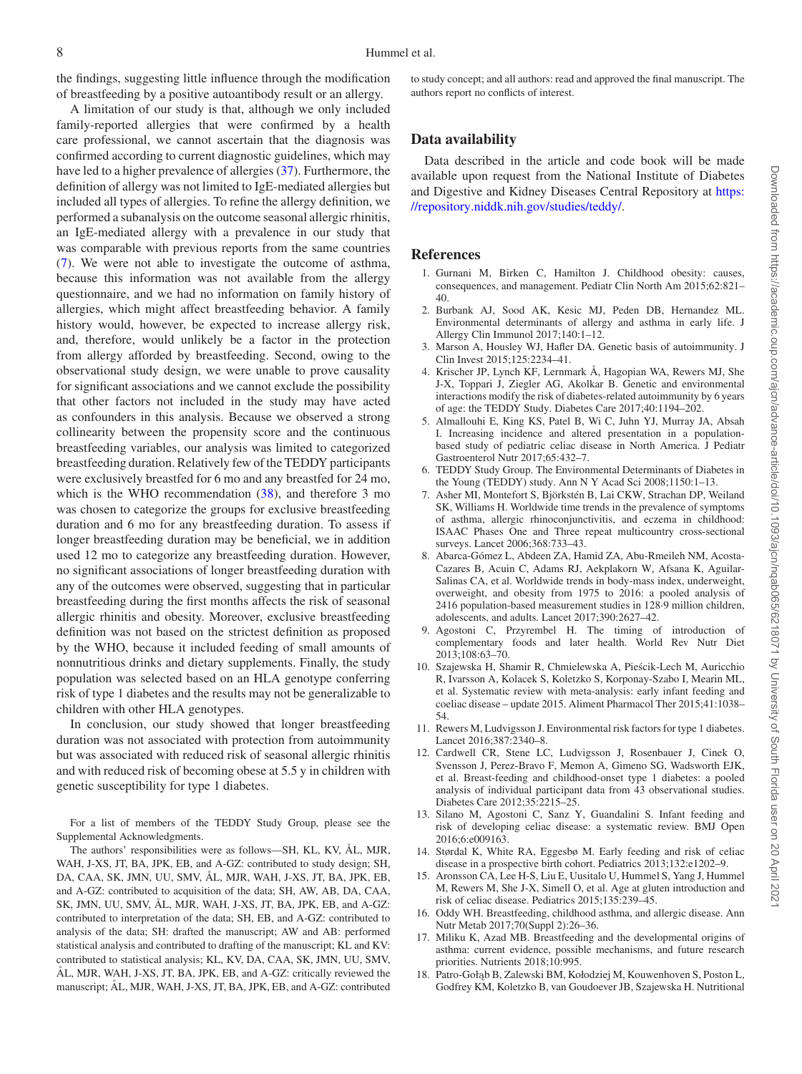the findings, suggesting little influence through the modification of breastfeeding by a positive autoantibody result or an allergy.

A limitation of our study is that, although we only included family-reported allergies that were confirmed by a health care professional, we cannot ascertain that the diagnosis was confirmed according to current diagnostic guidelines, which may have led to a higher prevalence of allergies [\(37\)](#page-8-13). Furthermore, the definition of allergy was not limited to IgE-mediated allergies but included all types of allergies. To refine the allergy definition, we performed a subanalysis on the outcome seasonal allergic rhinitis, an IgE-mediated allergy with a prevalence in our study that was comparable with previous reports from the same countries [\(7\)](#page-7-11). We were not able to investigate the outcome of asthma, because this information was not available from the allergy questionnaire, and we had no information on family history of allergies, which might affect breastfeeding behavior. A family history would, however, be expected to increase allergy risk, and, therefore, would unlikely be a factor in the protection from allergy afforded by breastfeeding. Second, owing to the observational study design, we were unable to prove causality for significant associations and we cannot exclude the possibility that other factors not included in the study may have acted as confounders in this analysis. Because we observed a strong collinearity between the propensity score and the continuous breastfeeding variables, our analysis was limited to categorized breastfeeding duration. Relatively few of the TEDDY participants were exclusively breastfed for 6 mo and any breastfed for 24 mo, which is the WHO recommendation  $(38)$ , and therefore 3 mo was chosen to categorize the groups for exclusive breastfeeding duration and 6 mo for any breastfeeding duration. To assess if longer breastfeeding duration may be beneficial, we in addition used 12 mo to categorize any breastfeeding duration. However, no significant associations of longer breastfeeding duration with any of the outcomes were observed, suggesting that in particular breastfeeding during the first months affects the risk of seasonal allergic rhinitis and obesity. Moreover, exclusive breastfeeding definition was not based on the strictest definition as proposed by the WHO, because it included feeding of small amounts of nonnutritious drinks and dietary supplements. Finally, the study population was selected based on an HLA genotype conferring risk of type 1 diabetes and the results may not be generalizable to children with other HLA genotypes.

In conclusion, our study showed that longer breastfeeding duration was not associated with protection from autoimmunity but was associated with reduced risk of seasonal allergic rhinitis and with reduced risk of becoming obese at 5.5 y in children with genetic susceptibility for type 1 diabetes.

For a list of members of the TEDDY Study Group, please see the Supplemental Acknowledgments.

The authors' responsibilities were as follows—SH, KL, KV, AL, MJR, WAH, J-XS, JT, BA, JPK, EB, and A-GZ: contributed to study design; SH, DA, CAA, SK, JMN, UU, SMV, ÅL, MJR, WAH, J-XS, JT, BA, JPK, EB, and A-GZ: contributed to acquisition of the data; SH, AW, AB, DA, CAA, SK, JMN, UU, SMV, AL, MJR, WAH, J-XS, JT, BA, JPK, EB, and A-GZ: contributed to interpretation of the data; SH, EB, and A-GZ: contributed to analysis of the data; SH: drafted the manuscript; AW and AB: performed statistical analysis and contributed to drafting of the manuscript; KL and KV: contributed to statistical analysis; KL, KV, DA, CAA, SK, JMN, UU, SMV, AL, MJR, WAH, J-XS, JT, BA, JPK, EB, and A-GZ: critically reviewed the manuscript;  $\text{AL}$ , MJR, WAH, J-XS, JT, BA, JPK, EB, and A-GZ: contributed

to study concept; and all authors: read and approved the final manuscript. The authors report no conflicts of interest.

#### **Data availability**

Data described in the article and code book will be made available upon request from the National Institute of Diabetes [and Digestive and Kidney Diseases Central Repository at](https://repository.niddk.nih.gov/studies/teddy/) https: //repository.niddk.nih.gov/studies/teddy/.

#### **References**

- <span id="page-7-0"></span>1. Gurnani M, Birken C, Hamilton J. Childhood obesity: causes, consequences, and management. Pediatr Clin North Am 2015;62:821– 40.
- 2. Burbank AJ, Sood AK, Kesic MJ, Peden DB, Hernandez ML. Environmental determinants of allergy and asthma in early life. J Allergy Clin Immunol 2017;140:1–12.
- 3. Marson A, Housley WJ, Hafler DA. Genetic basis of autoimmunity. J Clin Invest 2015;125:2234–41.
- 4. Krischer JP, Lynch KF, Lernmark Å, Hagopian WA, Rewers MJ, She J-X, Toppari J, Ziegler AG, Akolkar B. Genetic and environmental interactions modify the risk of diabetes-related autoimmunity by 6 years of age: the TEDDY Study. Diabetes Care 2017;40:1194–202.
- <span id="page-7-1"></span>5. Almallouhi E, King KS, Patel B, Wi C, Juhn YJ, Murray JA, Absah I. Increasing incidence and altered presentation in a populationbased study of pediatric celiac disease in North America. J Pediatr Gastroenterol Nutr 2017;65:432–7.
- <span id="page-7-10"></span>6. TEDDY Study Group. The Environmental Determinants of Diabetes in the Young (TEDDY) study. Ann N Y Acad Sci 2008;1150:1–13.
- <span id="page-7-11"></span>7. Asher MI, Montefort S, Björkstén B, Lai CKW, Strachan DP, Weiland SK, Williams H. Worldwide time trends in the prevalence of symptoms of asthma, allergic rhinoconjunctivitis, and eczema in childhood: ISAAC Phases One and Three repeat multicountry cross-sectional surveys. Lancet 2006;368:733–43.
- 8. Abarca-Gómez L, Abdeen ZA, Hamid ZA, Abu-Rmeileh NM, Acosta-Cazares B, Acuin C, Adams RJ, Aekplakorn W, Afsana K, Aguilar-Salinas CA, et al. Worldwide trends in body-mass index, underweight, overweight, and obesity from 1975 to 2016: a pooled analysis of 2416 population-based measurement studies in 128·9 million children, adolescents, and adults. Lancet 2017;390:2627–42.
- <span id="page-7-2"></span>9. Agostoni C, Przyrembel H. The timing of introduction of complementary foods and later health. World Rev Nutr Diet 2013;108:63–70.
- <span id="page-7-3"></span>10. Szajewska H, Shamir R, Chmielewska A, Piescik-Lech M, Auricchio ´ R, Ivarsson A, Kolacek S, Koletzko S, Korponay-Szabo I, Mearin ML, et al. Systematic review with meta-analysis: early infant feeding and coeliac disease – update 2015. Aliment Pharmacol Ther 2015;41:1038– 54.
- <span id="page-7-4"></span>11. Rewers M, Ludvigsson J. Environmental risk factors for type 1 diabetes. Lancet 2016;387:2340–8.
- 12. Cardwell CR, Stene LC, Ludvigsson J, Rosenbauer J, Cinek O, Svensson J, Perez-Bravo F, Memon A, Gimeno SG, Wadsworth EJK, et al. Breast-feeding and childhood-onset type 1 diabetes: a pooled analysis of individual participant data from 43 observational studies. Diabetes Care 2012;35:2215–25.
- 13. Silano M, Agostoni C, Sanz Y, Guandalini S. Infant feeding and risk of developing celiac disease: a systematic review. BMJ Open 2016;6:e009163.
- <span id="page-7-5"></span>14. Størdal K, White RA, Eggesbø M. Early feeding and risk of celiac disease in a prospective birth cohort. Pediatrics 2013;132:e1202–9.
- <span id="page-7-6"></span>15. Aronsson CA, Lee H-S, Liu E, Uusitalo U, Hummel S, Yang J, Hummel M, Rewers M, She J-X, Simell O, et al. Age at gluten introduction and risk of celiac disease. Pediatrics 2015;135:239–45.
- <span id="page-7-7"></span>16. Oddy WH. Breastfeeding, childhood asthma, and allergic disease. Ann Nutr Metab 2017;70(Suppl 2):26–36.
- <span id="page-7-8"></span>17. Miliku K, Azad MB. Breastfeeding and the developmental origins of asthma: current evidence, possible mechanisms, and future research priorities. Nutrients 2018;10:995.
- <span id="page-7-9"></span>18. Patro-Gołąb B, Zalewski BM, Kołodziej M, Kouwenhoven S, Poston L, Godfrey KM, Koletzko B, van Goudoever JB, Szajewska H. Nutritional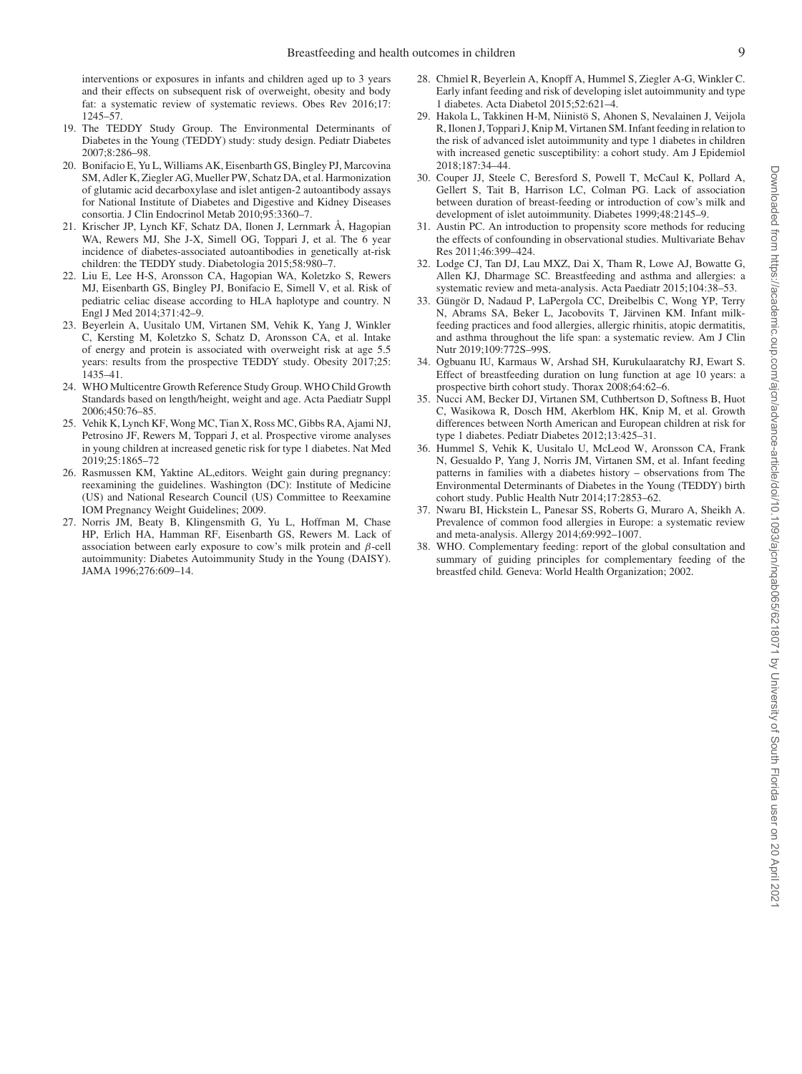interventions or exposures in infants and children aged up to 3 years and their effects on subsequent risk of overweight, obesity and body fat: a systematic review of systematic reviews. Obes Rev 2016;17: 1245–57.

- <span id="page-8-0"></span>19. The TEDDY Study Group. The Environmental Determinants of Diabetes in the Young (TEDDY) study: study design. Pediatr Diabetes 2007;8:286–98.
- <span id="page-8-1"></span>20. Bonifacio E, Yu L, Williams AK, Eisenbarth GS, Bingley PJ, Marcovina SM, Adler K, Ziegler AG, Mueller PW, Schatz DA, et al. Harmonization of glutamic acid decarboxylase and islet antigen-2 autoantibody assays for National Institute of Diabetes and Digestive and Kidney Diseases consortia. J Clin Endocrinol Metab 2010;95:3360–7.
- 21. Krischer JP, Lynch KF, Schatz DA, Ilonen J, Lernmark Å, Hagopian WA, Rewers MJ, She J-X, Simell OG, Toppari J, et al. The 6 year incidence of diabetes-associated autoantibodies in genetically at-risk children: the TEDDY study. Diabetologia 2015;58:980–7.
- 22. Liu E, Lee H-S, Aronsson CA, Hagopian WA, Koletzko S, Rewers MJ, Eisenbarth GS, Bingley PJ, Bonifacio E, Simell V, et al. Risk of pediatric celiac disease according to HLA haplotype and country. N Engl J Med 2014;371:42–9.
- <span id="page-8-2"></span>23. Beyerlein A, Uusitalo UM, Virtanen SM, Vehik K, Yang J, Winkler C, Kersting M, Koletzko S, Schatz D, Aronsson CA, et al. Intake of energy and protein is associated with overweight risk at age 5.5 years: results from the prospective TEDDY study. Obesity 2017;25: 1435–41.
- <span id="page-8-3"></span>24. WHO Multicentre Growth Reference Study Group. WHO Child Growth Standards based on length/height, weight and age. Acta Paediatr Suppl 2006;450:76–85.
- <span id="page-8-4"></span>25. Vehik K, Lynch KF, Wong MC, Tian X, Ross MC, Gibbs RA, Ajami NJ, Petrosino JF, Rewers M, Toppari J, et al. Prospective virome analyses in young children at increased genetic risk for type 1 diabetes. Nat Med 2019;25:1865–72
- <span id="page-8-5"></span>26. Rasmussen KM, Yaktine AL,editors. Weight gain during pregnancy: reexamining the guidelines. Washington (DC): Institute of Medicine (US) and National Research Council (US) Committee to Reexamine IOM Pregnancy Weight Guidelines; 2009.
- <span id="page-8-6"></span>27. Norris JM, Beaty B, Klingensmith G, Yu L, Hoffman M, Chase HP, Erlich HA, Hamman RF, Eisenbarth GS, Rewers M. Lack of association between early exposure to cow's milk protein and β-cell autoimmunity: Diabetes Autoimmunity Study in the Young (DAISY). JAMA 1996;276:609–14.
- 28. Chmiel R, Beyerlein A, Knopff A, Hummel S, Ziegler A-G, Winkler C. Early infant feeding and risk of developing islet autoimmunity and type 1 diabetes. Acta Diabetol 2015;52:621–4.
- 29. Hakola L, Takkinen H-M, Niinistö S, Ahonen S, Nevalainen J, Veijola R, Ilonen J, Toppari J, Knip M, Virtanen SM. Infant feeding in relation to the risk of advanced islet autoimmunity and type 1 diabetes in children with increased genetic susceptibility: a cohort study. Am J Epidemiol 2018;187:34–44.
- 30. Couper JJ, Steele C, Beresford S, Powell T, McCaul K, Pollard A, Gellert S, Tait B, Harrison LC, Colman PG. Lack of association between duration of breast-feeding or introduction of cow's milk and development of islet autoimmunity. Diabetes 1999;48:2145–9.
- <span id="page-8-7"></span>31. Austin PC. An introduction to propensity score methods for reducing the effects of confounding in observational studies. Multivariate Behav Res 2011;46:399–424.
- <span id="page-8-8"></span>32. Lodge CJ, Tan DJ, Lau MXZ, Dai X, Tham R, Lowe AJ, Bowatte G, Allen KJ, Dharmage SC. Breastfeeding and asthma and allergies: a systematic review and meta-analysis. Acta Paediatr 2015;104:38–53.
- <span id="page-8-9"></span>33. Güngör D, Nadaud P, LaPergola CC, Dreibelbis C, Wong YP, Terry N, Abrams SA, Beker L, Jacobovits T, Järvinen KM. Infant milkfeeding practices and food allergies, allergic rhinitis, atopic dermatitis, and asthma throughout the life span: a systematic review. Am J Clin Nutr 2019;109:772S–99S.
- <span id="page-8-10"></span>34. Ogbuanu IU, Karmaus W, Arshad SH, Kurukulaaratchy RJ, Ewart S. Effect of breastfeeding duration on lung function at age 10 years: a prospective birth cohort study. Thorax 2008;64:62–6.
- <span id="page-8-11"></span>35. Nucci AM, Becker DJ, Virtanen SM, Cuthbertson D, Softness B, Huot C, Wasikowa R, Dosch HM, Akerblom HK, Knip M, et al. Growth differences between North American and European children at risk for type 1 diabetes. Pediatr Diabetes 2012;13:425–31.
- <span id="page-8-12"></span>36. Hummel S, Vehik K, Uusitalo U, McLeod W, Aronsson CA, Frank N, Gesualdo P, Yang J, Norris JM, Virtanen SM, et al. Infant feeding patterns in families with a diabetes history – observations from The Environmental Determinants of Diabetes in the Young (TEDDY) birth cohort study. Public Health Nutr 2014;17:2853–62.
- <span id="page-8-13"></span>37. Nwaru BI, Hickstein L, Panesar SS, Roberts G, Muraro A, Sheikh A. Prevalence of common food allergies in Europe: a systematic review and meta-analysis. Allergy 2014;69:992–1007.
- <span id="page-8-14"></span>38. WHO. Complementary feeding: report of the global consultation and summary of guiding principles for complementary feeding of the breastfed child*.* Geneva: World Health Organization; 2002.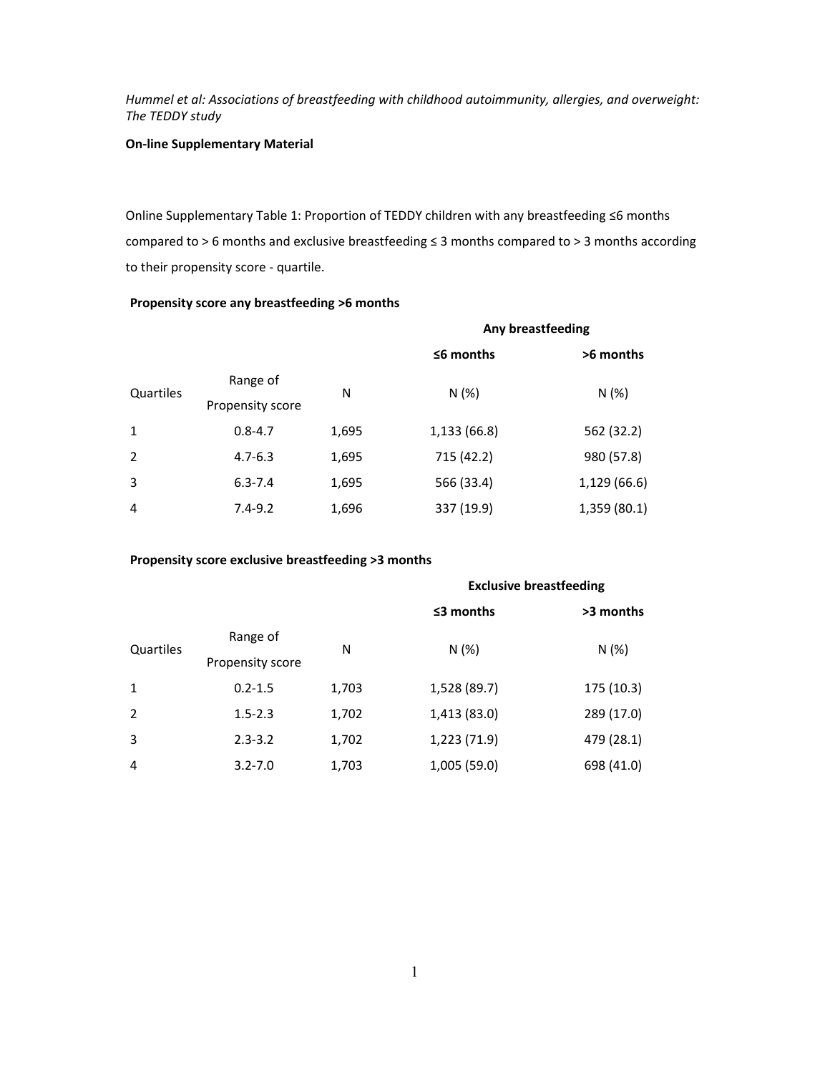# **On‐line Supplementary Material**

Online Supplementary Table 1: Proportion of TEDDY children with any breastfeeding ≤6 months compared to > 6 months and exclusive breastfeeding ≤ 3 months compared to > 3 months according to their propensity score ‐ quartile.

# **Propensity score any breastfeeding >6 months**

|                |                              |       | Any breastfeeding |              |  |
|----------------|------------------------------|-------|-------------------|--------------|--|
|                |                              |       | $56$ months       | >6 months    |  |
| Quartiles      | Range of<br>Propensity score | N     | N(%)              | N(%)         |  |
| 1              | $0.8 - 4.7$                  | 1,695 | 1,133 (66.8)      | 562 (32.2)   |  |
| 2              | $4.7 - 6.3$                  | 1,695 | 715 (42.2)        | 980 (57.8)   |  |
| 3              | $6.3 - 7.4$                  | 1,695 | 566 (33.4)        | 1,129 (66.6) |  |
| $\overline{4}$ | $7.4 - 9.2$                  | 1,696 | 337 (19.9)        | 1,359 (80.1) |  |

## **Propensity score exclusive breastfeeding >3 months**

|                |                  |       | <b>Exclusive breastfeeding</b> |            |  |
|----------------|------------------|-------|--------------------------------|------------|--|
|                |                  |       | $\leq$ 3 months                | >3 months  |  |
| Quartiles      | Range of         | N     | N(%)                           | N(%)       |  |
|                | Propensity score |       |                                |            |  |
| $\mathbf{1}$   | $0.2 - 1.5$      | 1,703 | 1,528 (89.7)                   | 175 (10.3) |  |
| 2              | $1.5 - 2.3$      | 1,702 | 1,413 (83.0)                   | 289 (17.0) |  |
| 3              | $2.3 - 3.2$      | 1,702 | 1,223 (71.9)                   | 479 (28.1) |  |
| $\overline{4}$ | $3.2 - 7.0$      | 1,703 | 1,005 (59.0)                   | 698 (41.0) |  |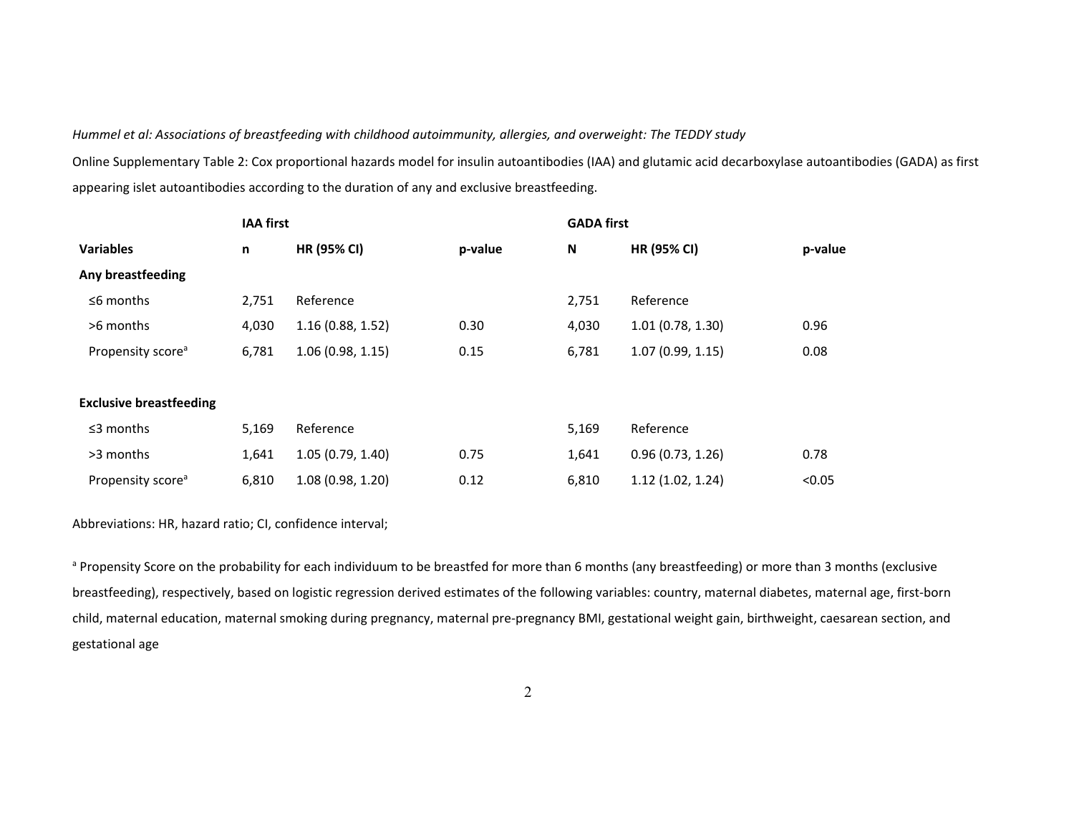Online Supplementary Table 2: Cox proportional hazards model for insulin autoantibodies (IAA) and glutamic acid decarboxylase autoantibodies (GADA) as first appearing islet autoantibodies according to the duration of any and exclusive breastfeeding.

|                                | <b>IAA first</b> |                    |         | <b>GADA first</b> |                  |         |
|--------------------------------|------------------|--------------------|---------|-------------------|------------------|---------|
| <b>Variables</b>               | n                | <b>HR (95% CI)</b> | p-value | N                 | HR (95% CI)      | p-value |
| Any breastfeeding              |                  |                    |         |                   |                  |         |
| $\leq$ 6 months                | 2,751            | Reference          |         | 2,751             | Reference        |         |
| >6 months                      | 4,030            | 1.16(0.88, 1.52)   | 0.30    | 4,030             | 1.01(0.78, 1.30) | 0.96    |
| Propensity score <sup>a</sup>  | 6,781            | 1.06(0.98, 1.15)   | 0.15    | 6,781             | 1.07(0.99, 1.15) | 0.08    |
|                                |                  |                    |         |                   |                  |         |
| <b>Exclusive breastfeeding</b> |                  |                    |         |                   |                  |         |
| $\leq$ 3 months                | 5,169            | Reference          |         | 5,169             | Reference        |         |
| >3 months                      | 1,641            | 1.05(0.79, 1.40)   | 0.75    | 1,641             | 0.96(0.73, 1.26) | 0.78    |
| Propensity score <sup>a</sup>  | 6,810            | 1.08(0.98, 1.20)   | 0.12    | 6,810             | 1.12(1.02, 1.24) | < 0.05  |

Abbreviations: HR, hazard ratio; CI, confidence interval;

a Propensity Score on the probability for each individuum to be breastfed for more than 6 months (any breastfeeding) or more than 3 months (exclusive breastfeeding), respectively, based on logistic regression derived estimates of the following variables: country, maternal diabetes, maternal age, first‐born child, maternal education, maternal smoking during pregnancy, maternal pre‐pregnancy BMI, gestational weight gain, birthweight, caesarean section, and gestational age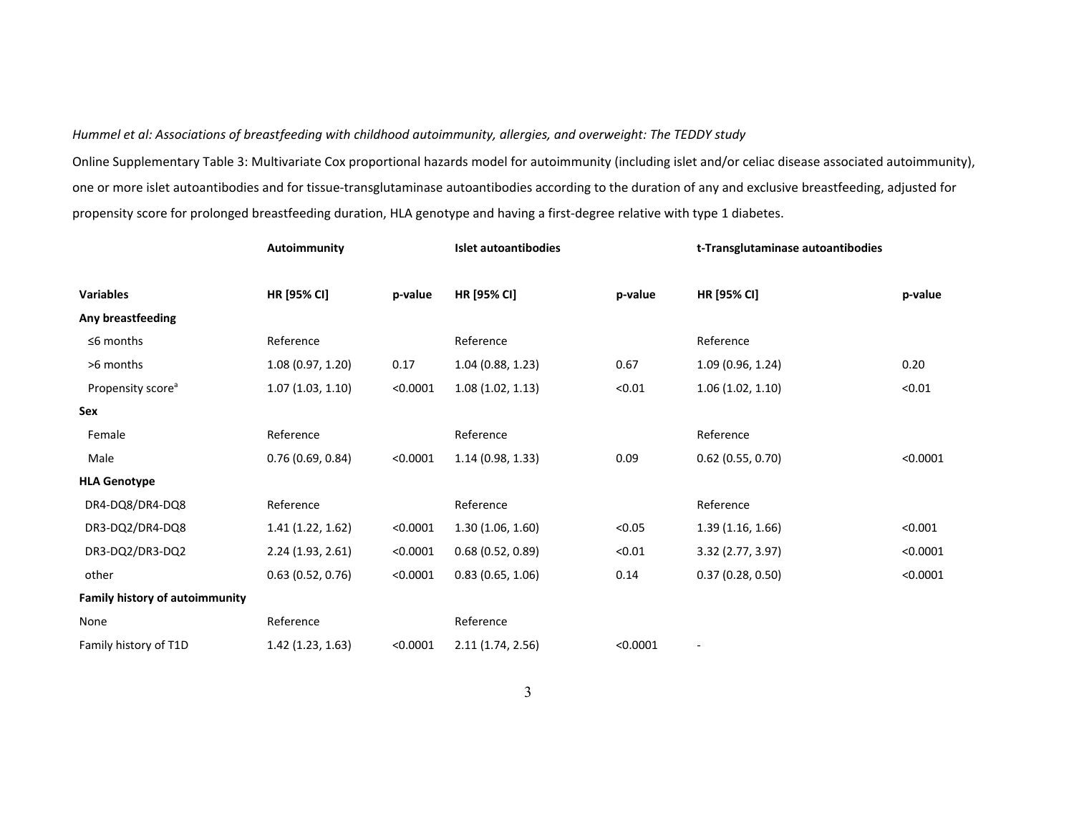Online Supplementary Table 3: Multivariate Cox proportional hazards model for autoimmunity (including islet and/or celiac disease associated autoimmunity), one or more islet autoantibodies and for tissue‐transglutaminase autoantibodies according to the duration of any and exclusive breastfeeding, adjusted for propensity score for prolonged breastfeeding duration, HLA genotype and having a first-degree relative with type 1 diabetes.

|                                       | Autoimmunity     |          | Islet autoantibodies |          | t-Transglutaminase autoantibodies |          |
|---------------------------------------|------------------|----------|----------------------|----------|-----------------------------------|----------|
| <b>Variables</b>                      | HR [95% CI]      | p-value  | HR [95% CI]          | p-value  | HR [95% CI]                       | p-value  |
| Any breastfeeding                     |                  |          |                      |          |                                   |          |
| $\leq$ 6 months                       | Reference        |          | Reference            |          | Reference                         |          |
| >6 months                             | 1.08(0.97, 1.20) | 0.17     | 1.04(0.88, 1.23)     | 0.67     | 1.09(0.96, 1.24)                  | 0.20     |
| Propensity score <sup>a</sup>         | 1.07(1.03, 1.10) | < 0.0001 | 1.08(1.02, 1.13)     | < 0.01   | 1.06(1.02, 1.10)                  | < 0.01   |
| Sex                                   |                  |          |                      |          |                                   |          |
| Female                                | Reference        |          | Reference            |          | Reference                         |          |
| Male                                  | 0.76(0.69, 0.84) | < 0.0001 | 1.14(0.98, 1.33)     | 0.09     | $0.62$ (0.55, 0.70)               | < 0.0001 |
| <b>HLA Genotype</b>                   |                  |          |                      |          |                                   |          |
| DR4-DQ8/DR4-DQ8                       | Reference        |          | Reference            |          | Reference                         |          |
| DR3-DQ2/DR4-DQ8                       | 1.41(1.22, 1.62) | < 0.0001 | 1.30(1.06, 1.60)     | < 0.05   | 1.39(1.16, 1.66)                  | < 0.001  |
| DR3-DQ2/DR3-DQ2                       | 2.24(1.93, 2.61) | < 0.0001 | 0.68(0.52, 0.89)     | < 0.01   | 3.32(2.77, 3.97)                  | < 0.0001 |
| other                                 | 0.63(0.52, 0.76) | < 0.0001 | 0.83(0.65, 1.06)     | 0.14     | 0.37(0.28, 0.50)                  | < 0.0001 |
| <b>Family history of autoimmunity</b> |                  |          |                      |          |                                   |          |
| None                                  | Reference        |          | Reference            |          |                                   |          |
| Family history of T1D                 | 1.42(1.23, 1.63) | < 0.0001 | 2.11(1.74, 2.56)     | < 0.0001 |                                   |          |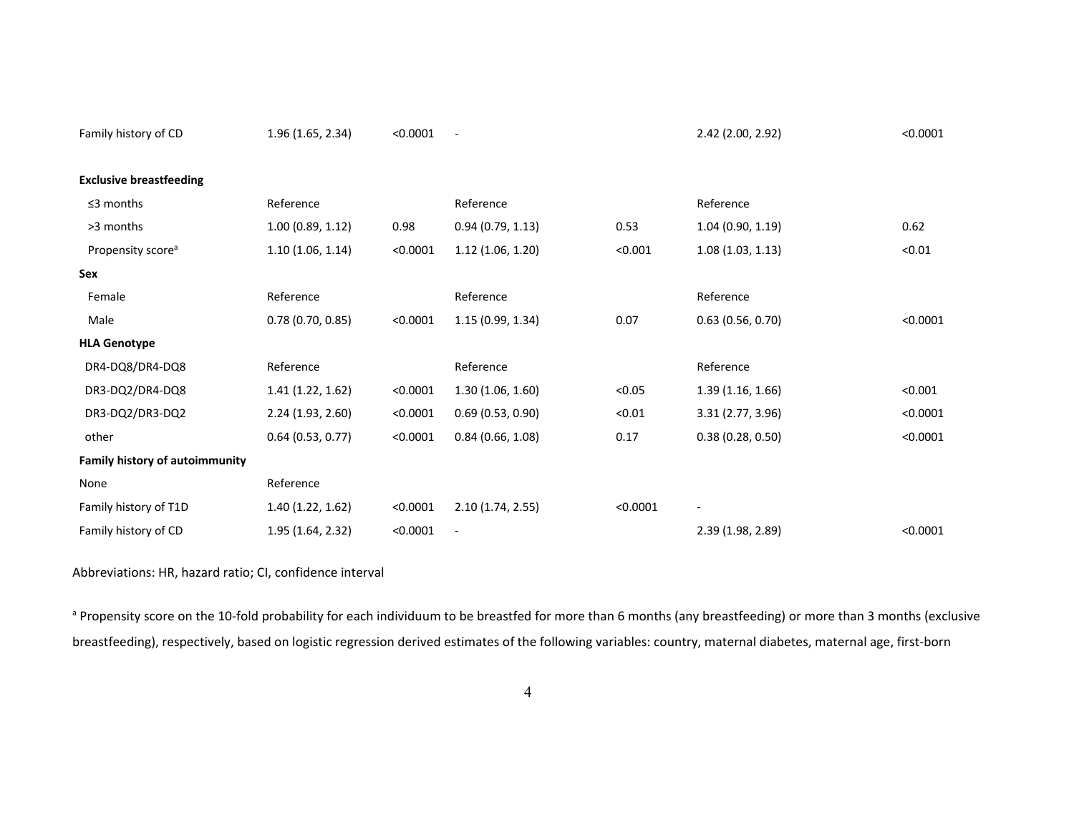| Family history of CD                  | 1.96(1.65, 2.34)    | < 0.0001 | $\overline{\phantom{a}}$ |          | 2.42 (2.00, 2.92)        | < 0.0001 |
|---------------------------------------|---------------------|----------|--------------------------|----------|--------------------------|----------|
| <b>Exclusive breastfeeding</b>        |                     |          |                          |          |                          |          |
| $\leq$ 3 months                       | Reference           |          | Reference                |          | Reference                |          |
| >3 months                             | 1.00(0.89, 1.12)    | 0.98     | 0.94(0.79, 1.13)         | 0.53     | 1.04(0.90, 1.19)         | 0.62     |
| Propensity score <sup>a</sup>         | 1.10(1.06, 1.14)    | < 0.0001 | 1.12(1.06, 1.20)         | < 0.001  | 1.08(1.03, 1.13)         | < 0.01   |
| Sex                                   |                     |          |                          |          |                          |          |
| Female                                | Reference           |          | Reference                |          | Reference                |          |
| Male                                  | 0.78(0.70, 0.85)    | < 0.0001 | 1.15(0.99, 1.34)         | 0.07     | 0.63(0.56, 0.70)         | < 0.0001 |
| <b>HLA Genotype</b>                   |                     |          |                          |          |                          |          |
| DR4-DQ8/DR4-DQ8                       | Reference           |          | Reference                |          | Reference                |          |
| DR3-DQ2/DR4-DQ8                       | 1.41(1.22, 1.62)    | < 0.0001 | 1.30(1.06, 1.60)         | < 0.05   | 1.39(1.16, 1.66)         | < 0.001  |
| DR3-DQ2/DR3-DQ2                       | 2.24(1.93, 2.60)    | < 0.0001 | 0.69(0.53, 0.90)         | < 0.01   | 3.31 (2.77, 3.96)        | < 0.0001 |
| other                                 | $0.64$ (0.53, 0.77) | < 0.0001 | 0.84(0.66, 1.08)         | 0.17     | 0.38(0.28, 0.50)         | < 0.0001 |
| <b>Family history of autoimmunity</b> |                     |          |                          |          |                          |          |
| None                                  | Reference           |          |                          |          |                          |          |
| Family history of T1D                 | 1.40 (1.22, 1.62)   | < 0.0001 | 2.10(1.74, 2.55)         | < 0.0001 | $\overline{\phantom{a}}$ |          |
| Family history of CD                  | 1.95(1.64, 2.32)    | < 0.0001 |                          |          | 2.39 (1.98, 2.89)        | < 0.0001 |

Abbreviations: HR, hazard ratio; CI, confidence interval

a Propensity score on the 10-fold probability for each individuum to be breastfed for more than 6 months (any breastfeeding) or more than 3 months (exclusive breastfeeding), respectively, based on logistic regression derived estimates of the following variables: country, maternal diabetes, maternal age, first‐born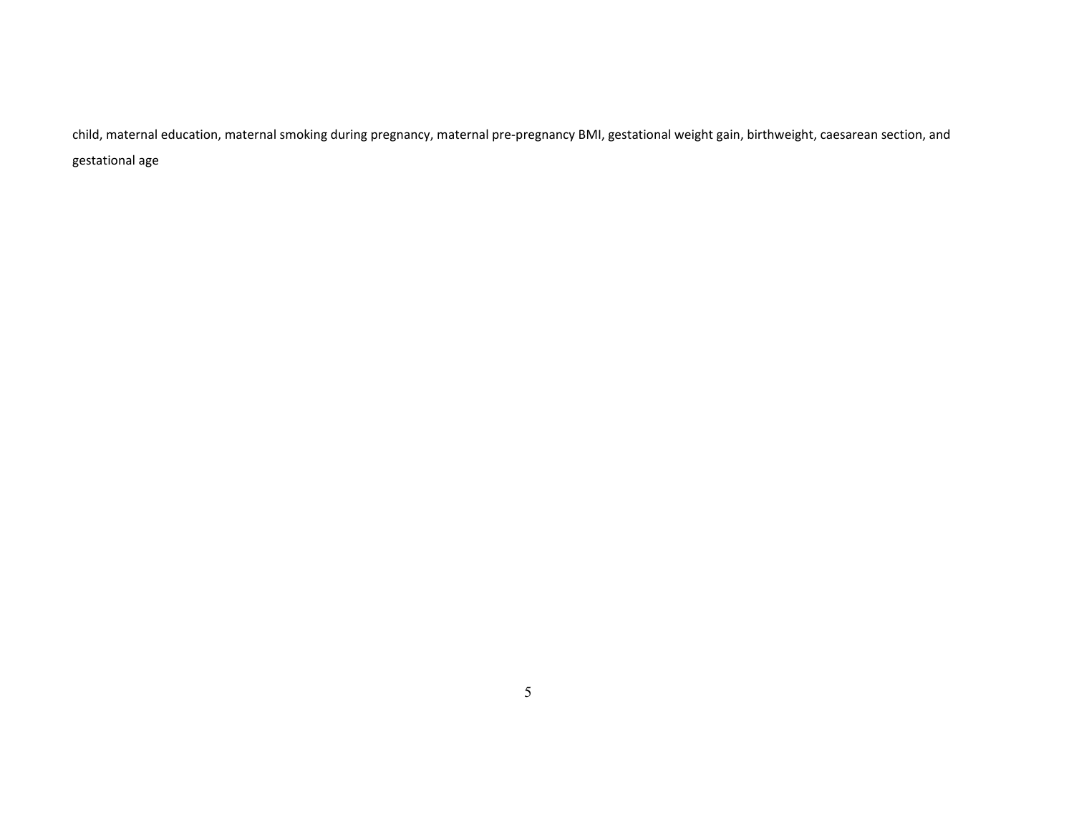child, maternal education, maternal smoking during pregnancy, maternal pre‐pregnancy BMI, gestational weight gain, birthweight, caesarean section, and gestational age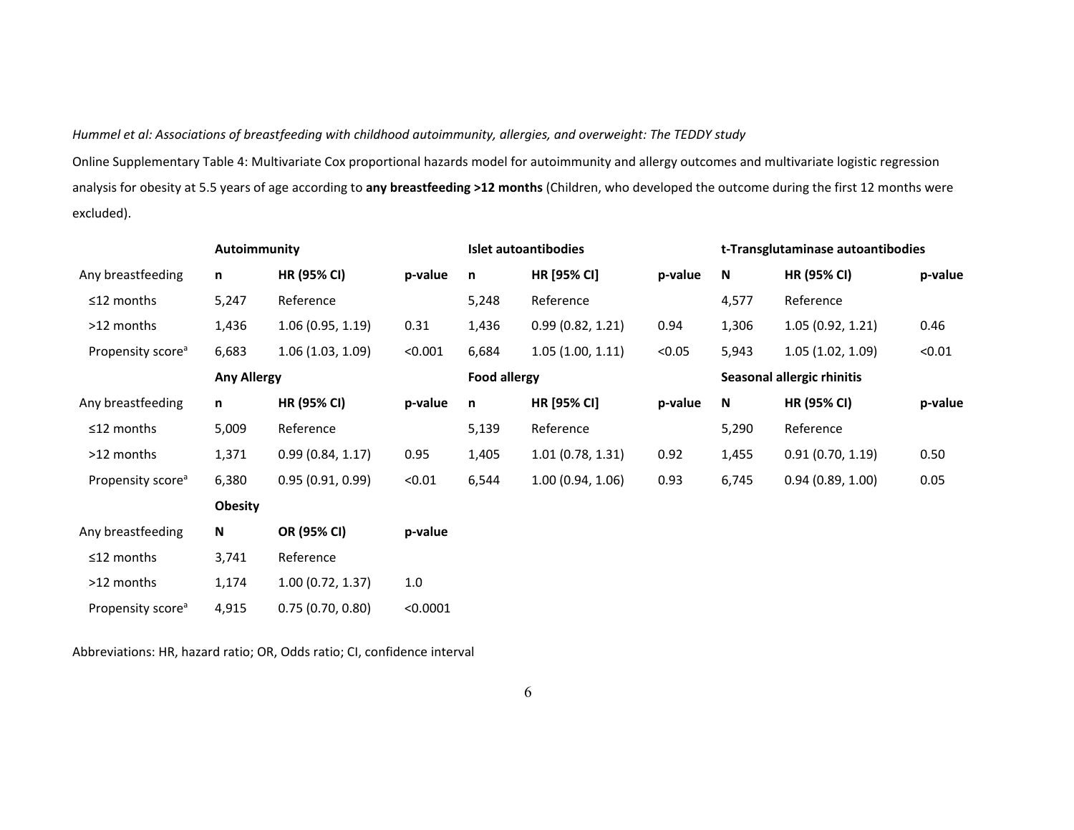Online Supplementary Table 4: Multivariate Cox proportional hazards model for autoimmunity and allergy outcomes and multivariate logistic regression analysis for obesity at 5.5 years of age according to **any breastfeeding >12 months** (Children, who developed the outcome during the first 12 months were excluded).

|                               | Autoimmunity       |                    |          | Islet autoantibodies |                  |         | t-Transglutaminase autoantibodies |                    |         |
|-------------------------------|--------------------|--------------------|----------|----------------------|------------------|---------|-----------------------------------|--------------------|---------|
| Any breastfeeding             | n                  | HR (95% CI)        | p-value  | n                    | HR [95% CI]      | p-value | N                                 | <b>HR (95% CI)</b> | p-value |
| $\leq$ 12 months              | 5,247              | Reference          |          | 5,248                | Reference        |         | 4,577                             | Reference          |         |
| >12 months                    | 1,436              | 1.06(0.95, 1.19)   | 0.31     | 1,436                | 0.99(0.82, 1.21) | 0.94    | 1,306                             | 1.05(0.92, 1.21)   | 0.46    |
| Propensity score <sup>a</sup> | 6,683              | 1.06(1.03, 1.09)   | < 0.001  | 6,684                | 1.05(1.00, 1.11) | < 0.05  | 5,943                             | 1.05(1.02, 1.09)   | < 0.01  |
|                               | <b>Any Allergy</b> |                    |          | <b>Food allergy</b>  |                  |         | Seasonal allergic rhinitis        |                    |         |
| Any breastfeeding             | n                  | <b>HR (95% CI)</b> | p-value  | n                    | HR [95% CI]      | p-value | ${\bf N}$                         | HR (95% CI)        | p-value |
| ≤12 months                    | 5,009              | Reference          |          | 5,139                | Reference        |         | 5,290                             | Reference          |         |
| >12 months                    | 1,371              | 0.99(0.84, 1.17)   | 0.95     | 1,405                | 1.01(0.78, 1.31) | 0.92    | 1,455                             | 0.91(0.70, 1.19)   | 0.50    |
| Propensity score <sup>a</sup> | 6,380              | 0.95(0.91, 0.99)   | < 0.01   | 6,544                | 1.00(0.94, 1.06) | 0.93    | 6,745                             | 0.94(0.89, 1.00)   | 0.05    |
|                               | <b>Obesity</b>     |                    |          |                      |                  |         |                                   |                    |         |
| Any breastfeeding             | N                  | OR (95% CI)        | p-value  |                      |                  |         |                                   |                    |         |
| ≤12 months                    | 3,741              | Reference          |          |                      |                  |         |                                   |                    |         |
| >12 months                    | 1,174              | 1.00(0.72, 1.37)   | 1.0      |                      |                  |         |                                   |                    |         |
| Propensity score <sup>a</sup> | 4,915              | 0.75(0.70, 0.80)   | < 0.0001 |                      |                  |         |                                   |                    |         |

Abbreviations: HR, hazard ratio; OR, Odds ratio; CI, confidence interval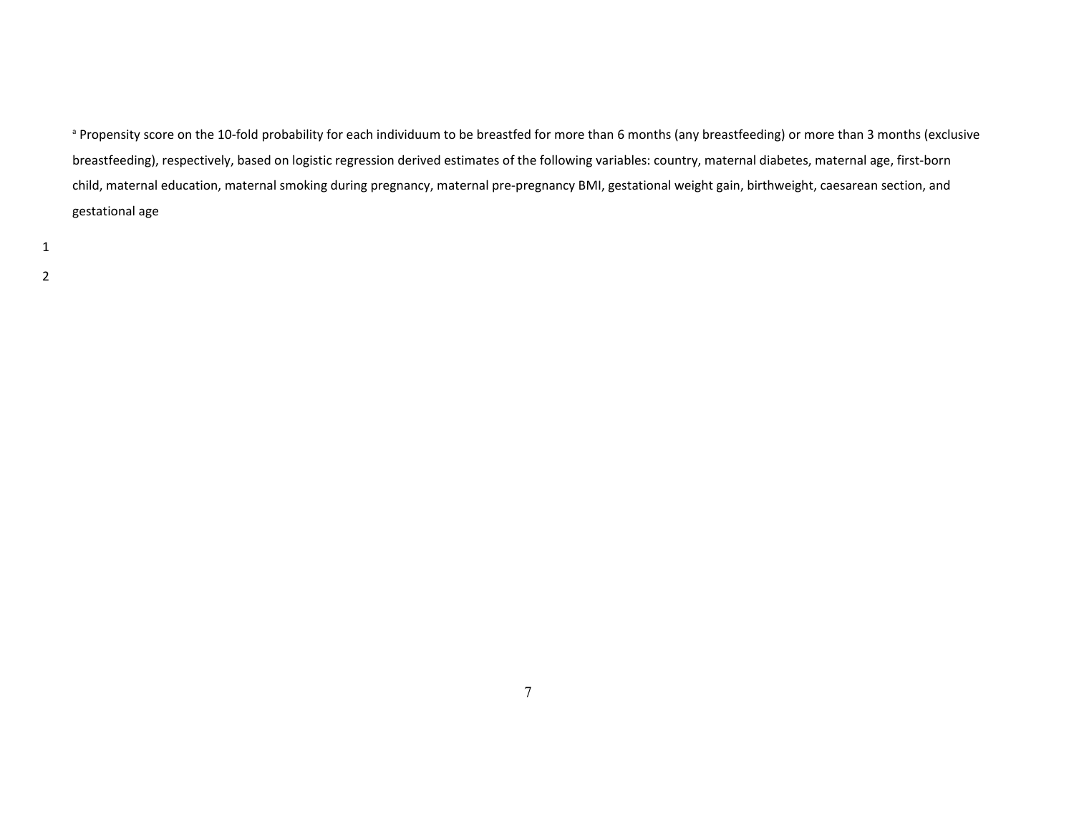a Propensity score on the 10-fold probability for each individuum to be breastfed for more than 6 months (any breastfeeding) or more than 3 months (exclusive breastfeeding), respectively, based on logistic regression derived estimates of the following variables: country, maternal diabetes, maternal age, first‐born child, maternal education, maternal smoking during pregnancy, maternal pre‐pregnancy BMI, gestational weight gain, birthweight, caesarean section, and gestational age

1 2

7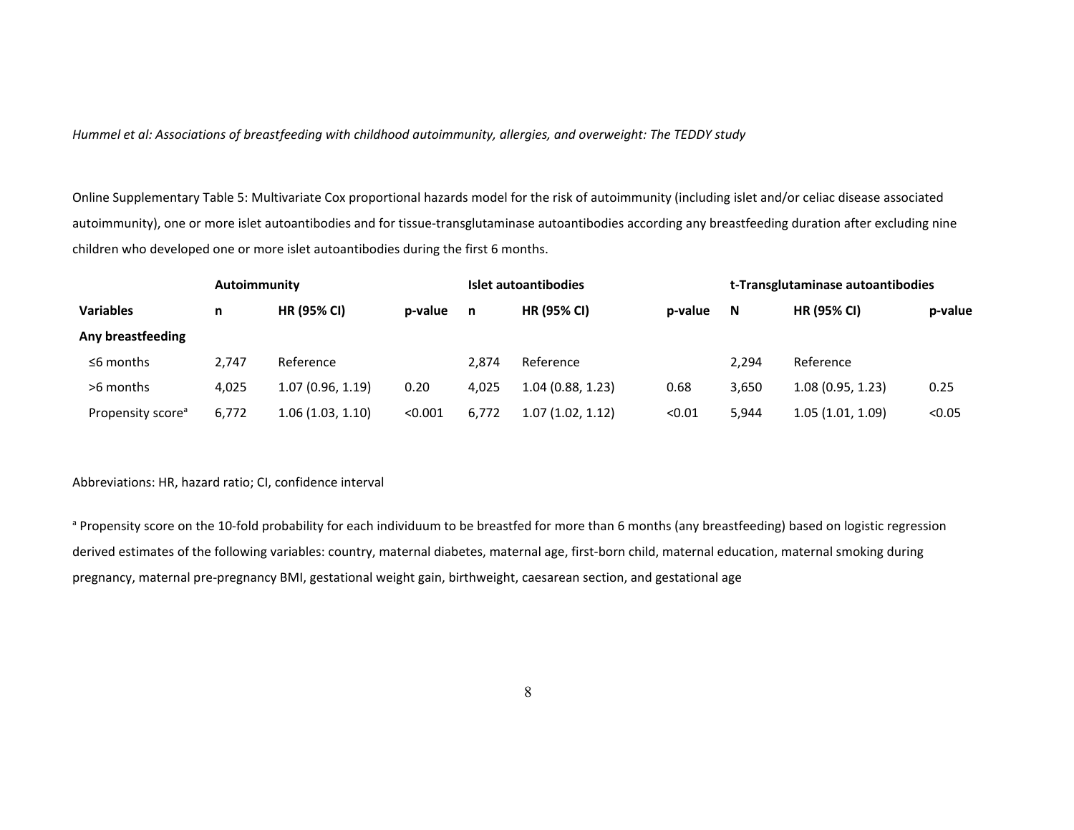Online Supplementary Table 5: Multivariate Cox proportional hazards model for the risk of autoimmunity (including islet and/or celiac disease associated autoimmunity), one or more islet autoantibodies and for tissue‐transglutaminase autoantibodies according any breastfeeding duration after excluding nine children who developed one or more islet autoantibodies during the first 6 months.

|                               | Autoimmunity |                    |         |       | Islet autoantibodies |         | t-Transglutaminase autoantibodies |                    |         |
|-------------------------------|--------------|--------------------|---------|-------|----------------------|---------|-----------------------------------|--------------------|---------|
| <b>Variables</b>              | n            | <b>HR (95% CI)</b> | p-value | n     | <b>HR (95% CI)</b>   | p-value | -N                                | <b>HR (95% CI)</b> | p-value |
| Any breastfeeding             |              |                    |         |       |                      |         |                                   |                    |         |
| $\leq$ 6 months               | 2.747        | Reference          |         | 2.874 | Reference            |         | 2.294                             | Reference          |         |
| >6 months                     | 4,025        | 1.07(0.96, 1.19)   | 0.20    | 4.025 | 1.04(0.88, 1.23)     | 0.68    | 3,650                             | 1.08(0.95, 1.23)   | 0.25    |
| Propensity score <sup>a</sup> | 6,772        | 1.06(1.03, 1.10)   | < 0.001 | 6,772 | 1.07(1.02, 1.12)     | < 0.01  | 5.944                             | 1.05(1.01, 1.09)   | < 0.05  |

Abbreviations: HR, hazard ratio; CI, confidence interval

a Propensity score on the 10-fold probability for each individuum to be breastfed for more than 6 months (any breastfeeding) based on logistic regression derived estimates of the following variables: country, maternal diabetes, maternal age, first-born child, maternal education, maternal smoking during pregnancy, maternal pre‐pregnancy BMI, gestational weight gain, birthweight, caesarean section, and gestational age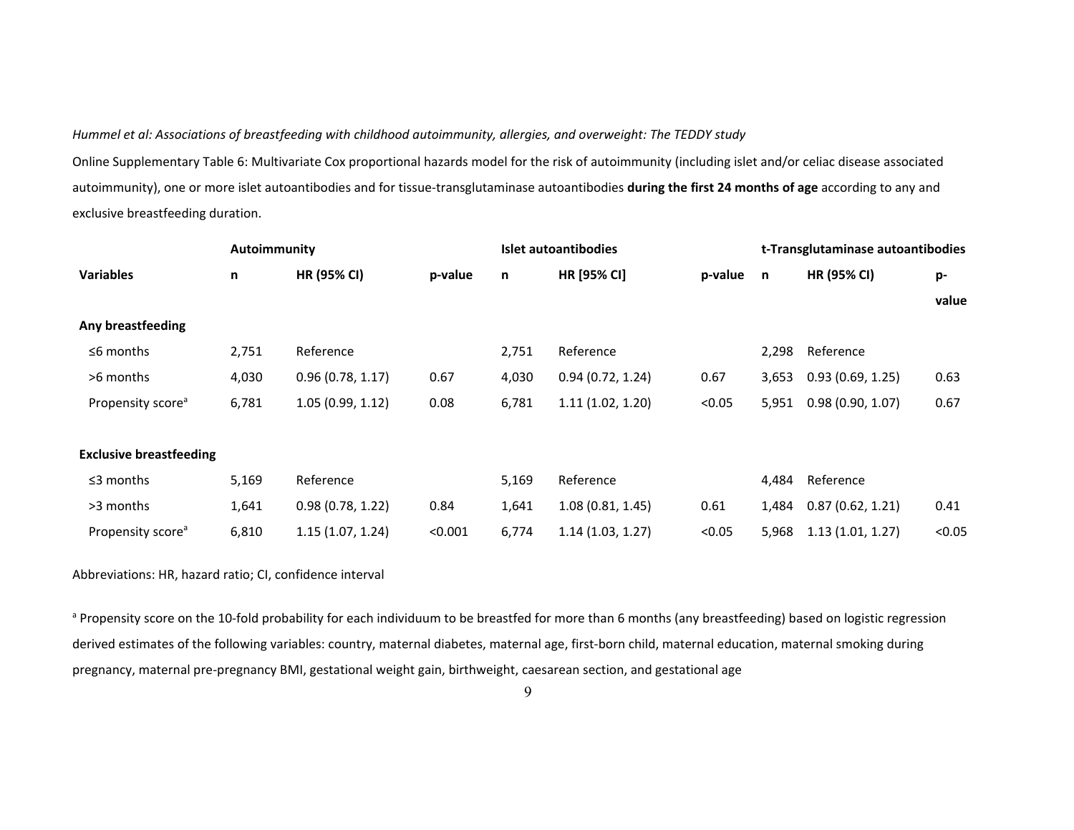Online Supplementary Table 6: Multivariate Cox proportional hazards model for the risk of autoimmunity (including islet and/or celiac disease associated autoimmunity), one or more islet autoantibodies and for tissue‐transglutaminase autoantibodies **during the first 24 months of age** according to any and exclusive breastfeeding duration.

|                                | Autoimmunity |                    |         |       | Islet autoantibodies | t-Transglutaminase autoantibodies |       |                  |        |  |
|--------------------------------|--------------|--------------------|---------|-------|----------------------|-----------------------------------|-------|------------------|--------|--|
| <b>Variables</b>               | n            | <b>HR (95% CI)</b> | p-value | n     | HR [95% CI]          | p-value                           | n,    | HR (95% CI)      | p-     |  |
|                                |              |                    |         |       |                      |                                   |       |                  | value  |  |
| Any breastfeeding              |              |                    |         |       |                      |                                   |       |                  |        |  |
| $\leq$ 6 months                | 2,751        | Reference          |         | 2,751 | Reference            |                                   | 2,298 | Reference        |        |  |
| >6 months                      | 4,030        | 0.96(0.78, 1.17)   | 0.67    | 4,030 | 0.94(0.72, 1.24)     | 0.67                              | 3,653 | 0.93(0.69, 1.25) | 0.63   |  |
| Propensity score <sup>a</sup>  | 6,781        | 1.05(0.99, 1.12)   | 0.08    | 6,781 | 1.11(1.02, 1.20)     | < 0.05                            | 5,951 | 0.98(0.90, 1.07) | 0.67   |  |
|                                |              |                    |         |       |                      |                                   |       |                  |        |  |
| <b>Exclusive breastfeeding</b> |              |                    |         |       |                      |                                   |       |                  |        |  |
| $\leq$ 3 months                | 5,169        | Reference          |         | 5,169 | Reference            |                                   | 4,484 | Reference        |        |  |
| >3 months                      | 1,641        | 0.98(0.78, 1.22)   | 0.84    | 1,641 | 1.08(0.81, 1.45)     | 0.61                              | 1,484 | 0.87(0.62, 1.21) | 0.41   |  |
| Propensity score <sup>a</sup>  | 6,810        | 1.15(1.07, 1.24)   | < 0.001 | 6,774 | 1.14(1.03, 1.27)     | < 0.05                            | 5,968 | 1.13(1.01, 1.27) | < 0.05 |  |

Abbreviations: HR, hazard ratio; CI, confidence interval

a Propensity score on the 10-fold probability for each individuum to be breastfed for more than 6 months (any breastfeeding) based on logistic regression derived estimates of the following variables: country, maternal diabetes, maternal age, first-born child, maternal education, maternal smoking during pregnancy, maternal pre‐pregnancy BMI, gestational weight gain, birthweight, caesarean section, and gestational age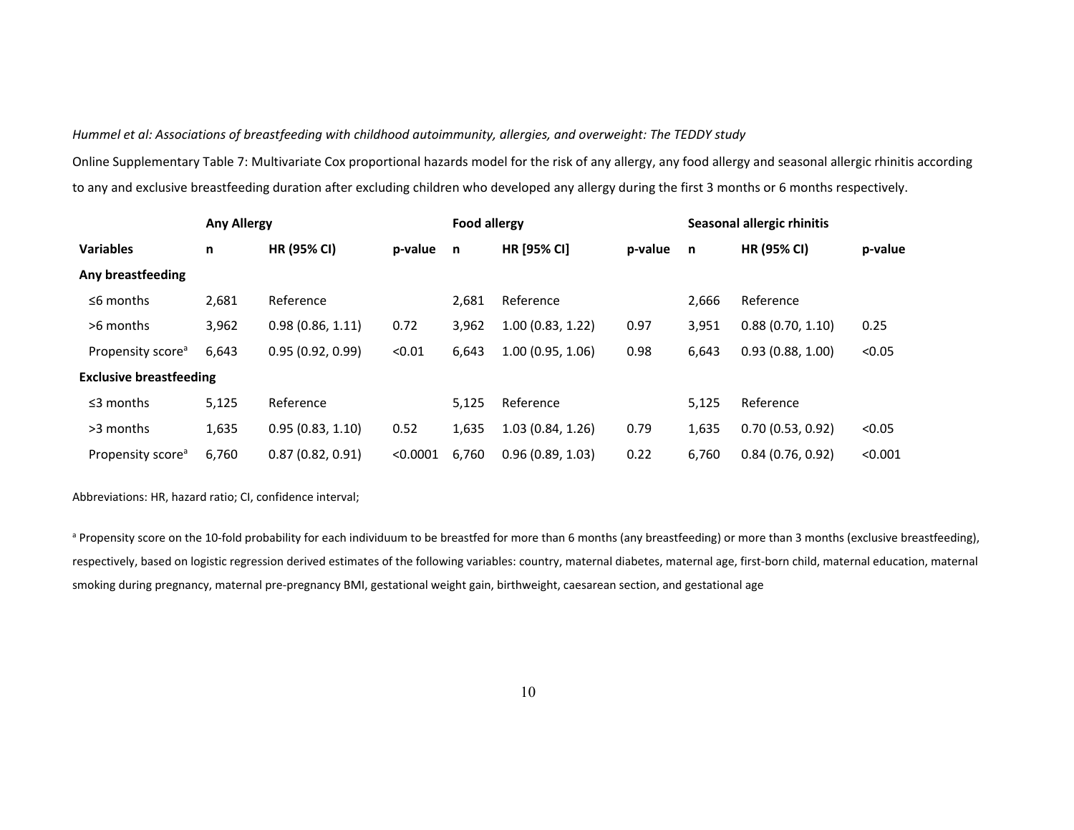Online Supplementary Table 7: Multivariate Cox proportional hazards model for the risk of any allergy, any food allergy and seasonal allergic rhinitis according to any and exclusive breastfeeding duration after excluding children who developed any allergy during the first 3 months or 6 months respectively.

|                                | <b>Any Allergy</b> |                    |          | <b>Food allergy</b> |                    |         | Seasonal allergic rhinitis |                    |         |  |
|--------------------------------|--------------------|--------------------|----------|---------------------|--------------------|---------|----------------------------|--------------------|---------|--|
| <b>Variables</b>               | n                  | <b>HR (95% CI)</b> | p-value  | n                   | <b>HR [95% CI]</b> | p-value | n                          | <b>HR (95% CI)</b> | p-value |  |
| Any breastfeeding              |                    |                    |          |                     |                    |         |                            |                    |         |  |
| $\leq$ 6 months                | 2,681              | Reference          |          | 2,681               | Reference          |         | 2.666                      | Reference          |         |  |
| >6 months                      | 3,962              | 0.98(0.86, 1.11)   | 0.72     | 3,962               | 1.00(0.83, 1.22)   | 0.97    | 3,951                      | 0.88(0.70, 1.10)   | 0.25    |  |
| Propensity score <sup>a</sup>  | 6,643              | 0.95(0.92, 0.99)   | < 0.01   | 6,643               | 1.00(0.95, 1.06)   | 0.98    | 6,643                      | 0.93(0.88, 1.00)   | < 0.05  |  |
| <b>Exclusive breastfeeding</b> |                    |                    |          |                     |                    |         |                            |                    |         |  |
| $\leq$ 3 months                | 5,125              | Reference          |          | 5,125               | Reference          |         | 5.125                      | Reference          |         |  |
| >3 months                      | 1,635              | 0.95(0.83, 1.10)   | 0.52     | 1,635               | 1.03 (0.84, 1.26)  | 0.79    | 1,635                      | 0.70(0.53, 0.92)   | < 0.05  |  |
| Propensity score <sup>a</sup>  | 6,760              | 0.87(0.82, 0.91)   | < 0.0001 | 6,760               | 0.96(0.89, 1.03)   | 0.22    | 6,760                      | 0.84(0.76, 0.92)   | < 0.001 |  |

Abbreviations: HR, hazard ratio; CI, confidence interval;

a Propensity score on the 10-fold probability for each individuum to be breastfed for more than 6 months (any breastfeeding) or more than 3 months (exclusive breastfeeding), respectively, based on logistic regression derived estimates of the following variables: country, maternal diabetes, maternal age, first-born child, maternal education, maternal smoking during pregnancy, maternal pre-pregnancy BMI, gestational weight gain, birthweight, caesarean section, and gestational age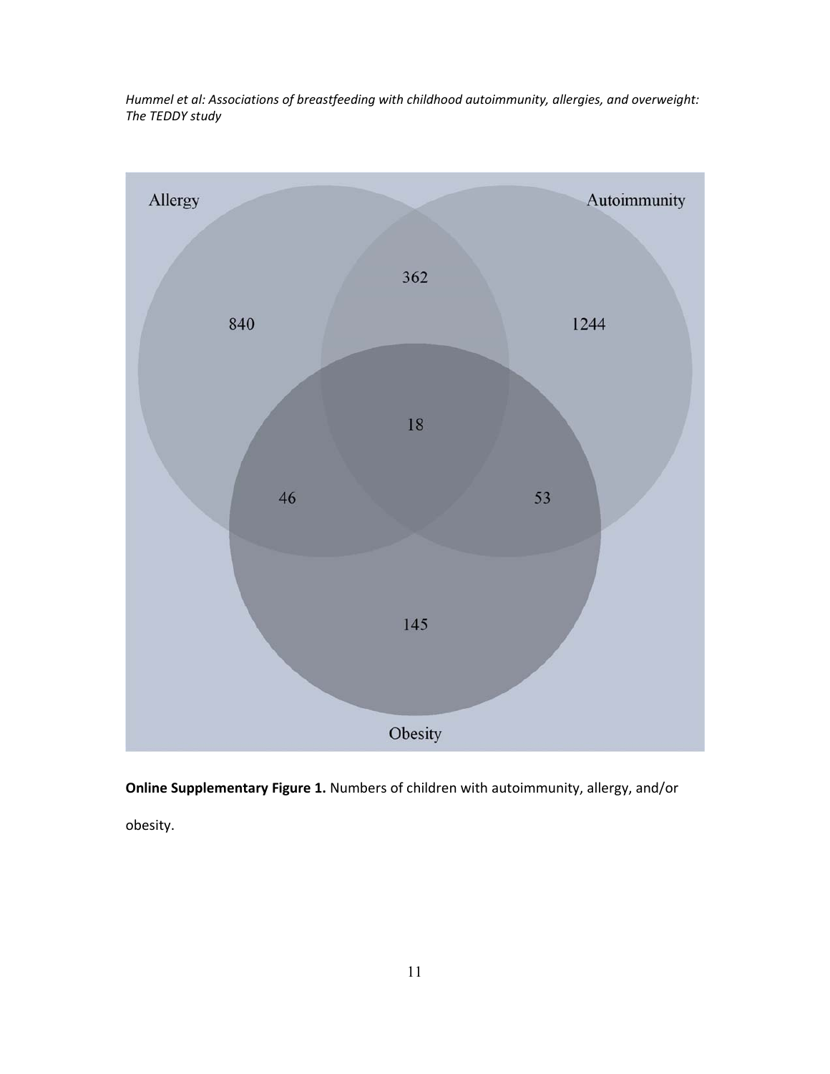

**Online Supplementary Figure 1.** Numbers of children with autoimmunity, allergy, and/or

obesity.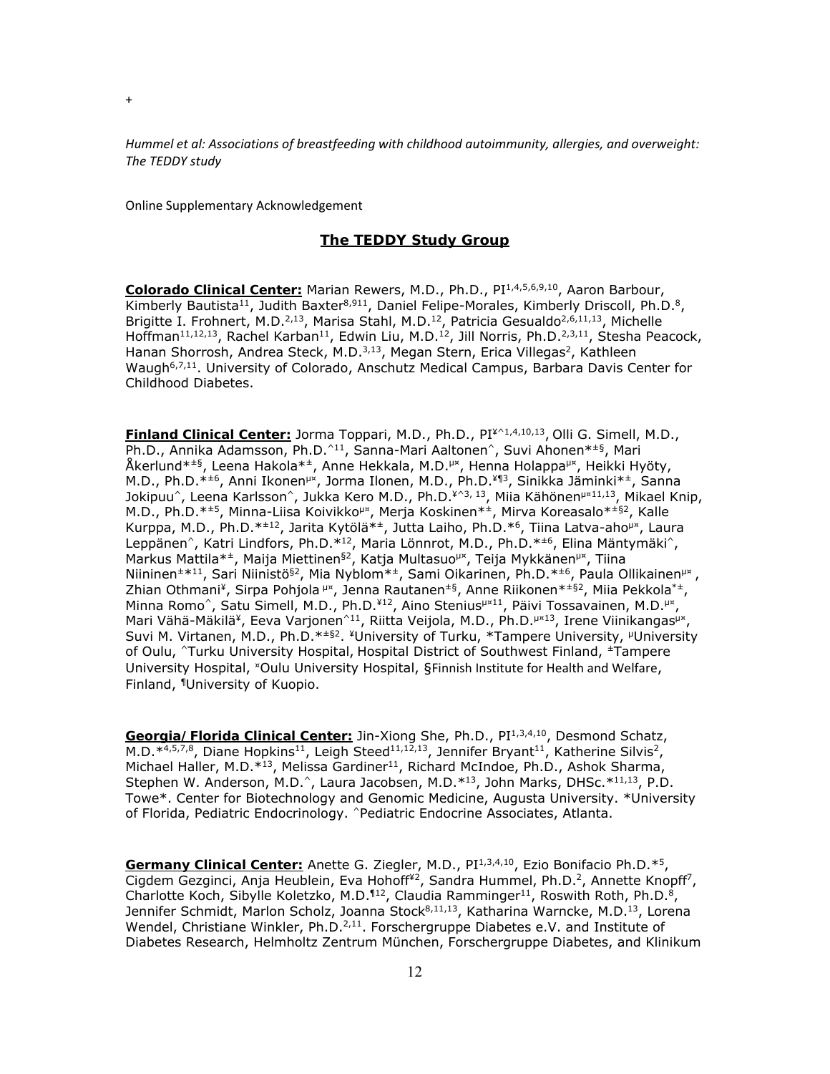Online Supplementary Acknowledgement

## **The TEDDY Study Group**

**Colorado Clinical Center:** Marian Rewers, M.D., Ph.D., PI1,4,5,6,9,10, Aaron Barbour, Kimberly Bautista<sup>11</sup>, Judith Baxter<sup>8,911</sup>, Daniel Felipe-Morales, Kimberly Driscoll, Ph.D.<sup>8</sup>, Brigitte I. Frohnert, M.D.<sup>2,13</sup>, Marisa Stahl, M.D.<sup>12</sup>, Patricia Gesualdo<sup>2,6,11,13</sup>, Michelle Hoffman<sup>11,12,13</sup>, Rachel Karban<sup>11</sup>, Edwin Liu, M.D.<sup>12</sup>, Jill Norris, Ph.D.<sup>2,3,11</sup>, Stesha Peacock, Hanan Shorrosh, Andrea Steck, M.D.<sup>3,13</sup>, Megan Stern, Erica Villegas<sup>2</sup>, Kathleen Waugh6,7,11. University of Colorado, Anschutz Medical Campus, Barbara Davis Center for Childhood Diabetes.

**Finland Clinical Center:** Jorma Toppari, M.D., Ph.D., PI¥^1,4,10,13, Olli G. Simell, M.D., Ph.D., Annika Adamsson, Ph.D.^11, Sanna-Mari Aaltonen^, Suvi Ahonen\*±§, Mari Åkerlund\*±§, Leena Hakola\*±, Anne Hekkala, M.D.µ¤, Henna Holappaµ¤, Heikki Hyöty, M.D., Ph.D.\*<sup>±6</sup>, Anni Ikonen<sup>µx</sup>, Jorma Ilonen, M.D., Ph.D.<sup>¥¶3</sup>, Sinikka Jäminki\*<sup>±</sup>, Sanna Jokipuu<sup>^</sup>, Leena Karlsson<sup>^</sup>, Jukka Kero M.D., Ph.D.<sup>¥^3, 13</sup>, Miia Kähönen<sup>µ×11,13</sup>, Mikael Knip, M.D., Ph.D.<sup>\*±5</sup>, Minna-Liisa Koivikko<sup>µx</sup>, Merja Koskinen<sup>\*±</sup>, Mirva Koreasalo<sup>\*±§2</sup>, Kalle Kurppa, M.D., Ph.D.\*<sup>±12</sup>, Jarita Kytölä\*<sup>±</sup>, Jutta Laiho, Ph.D.\*<sup>6</sup>, Tiina Latva-aho<sup>µx</sup>, Laura Leppänen^, Katri Lindfors, Ph.D.\*<sup>12</sup>, Maria Lönnrot, M.D., Ph.D.\*<sup>±6</sup>, Elina Mäntymäki^, Markus Mattila\*<sup>±</sup>, Maija Miettinen<sup>§2</sup>, Katja Multasuo<sup>µ¤</sup>, Teija Mykkänen<sup>µ¤</sup>, Tiina Niininen±\*11, Sari Niinistö§2, Mia Nyblom\*±, Sami Oikarinen, Ph.D.\*±6, Paula Ollikainenµ¤ , Zhian Othmani<sup>¥</sup>, Sirpa Pohjola <sup>µx</sup>, Jenna Rautanen<sup> $±§$ </sup>, Anne Riikonen<sup>\*±§2</sup>, Miia Pekkola<sup>\*±</sup>, Minna Romo^, Satu Simell, M.D., Ph.D.<sup>¥12</sup>, Aino Stenius<sup>µ×11</sup>, Päivi Tossavainen, M.D.<sup>µ×</sup>, Mari Vähä-Mäkilä<sup>¥</sup>, Eeva Varjonen<sup>^11</sup>, Riitta Veijola, M.D., Ph.D.<sup>µ×13</sup>, Irene Viinikangas<sup>µ×</sup>, Suvi M. Virtanen, M.D., Ph.D. $*$   $\pm$ §2. ¥University of Turku, \*Tampere University, <sup>µ</sup>University of Oulu, ^Turku University Hospital, Hospital District of Southwest Finland, ±Tampere University Hospital, ¤Oulu University Hospital, §Finnish Institute for Health and Welfare, Finland, ¶University of Kuopio.

**Georgia/Florida Clinical Center:** Jin-Xiong She, Ph.D., PI1,3,4,10, Desmond Schatz, M.D. $*^{4,5,7,8}$ , Diane Hopkins<sup>11</sup>, Leigh Steed<sup>11,12,13</sup>, Jennifer Bryant<sup>11</sup>, Katherine Silvis<sup>2</sup>, Michael Haller, M.D.\*13, Melissa Gardiner<sup>11</sup>, Richard McIndoe, Ph.D., Ashok Sharma, Stephen W. Anderson, M.D.<sup>^</sup>, Laura Jacobsen, M.D.\*<sup>13</sup>, John Marks, DHSc.\*<sup>11,13</sup>, P.D. Towe\*. Center for Biotechnology and Genomic Medicine, Augusta University. \*University of Florida, Pediatric Endocrinology. ^Pediatric Endocrine Associates, Atlanta.

Germany Clinical Center: Anette G. Ziegler, M.D., PI<sup>1,3,4,10</sup>, Ezio Bonifacio Ph.D.<sup>\*5</sup>, Cigdem Gezginci, Anja Heublein, Eva Hohoff<sup>¥2</sup>, Sandra Hummel, Ph.D.<sup>2</sup>, Annette Knopff<sup>7</sup>, Charlotte Koch, Sibylle Koletzko, M.D.<sup>112</sup>, Claudia Ramminger<sup>11</sup>, Roswith Roth, Ph.D.<sup>8</sup>, Jennifer Schmidt, Marlon Scholz, Joanna Stock<sup>8,11,13</sup>, Katharina Warncke, M.D.<sup>13</sup>, Lorena Wendel, Christiane Winkler,  $Ph.D.^{2,11}$ . Forschergruppe Diabetes e.V. and Institute of Diabetes Research, Helmholtz Zentrum München, Forschergruppe Diabetes, and Klinikum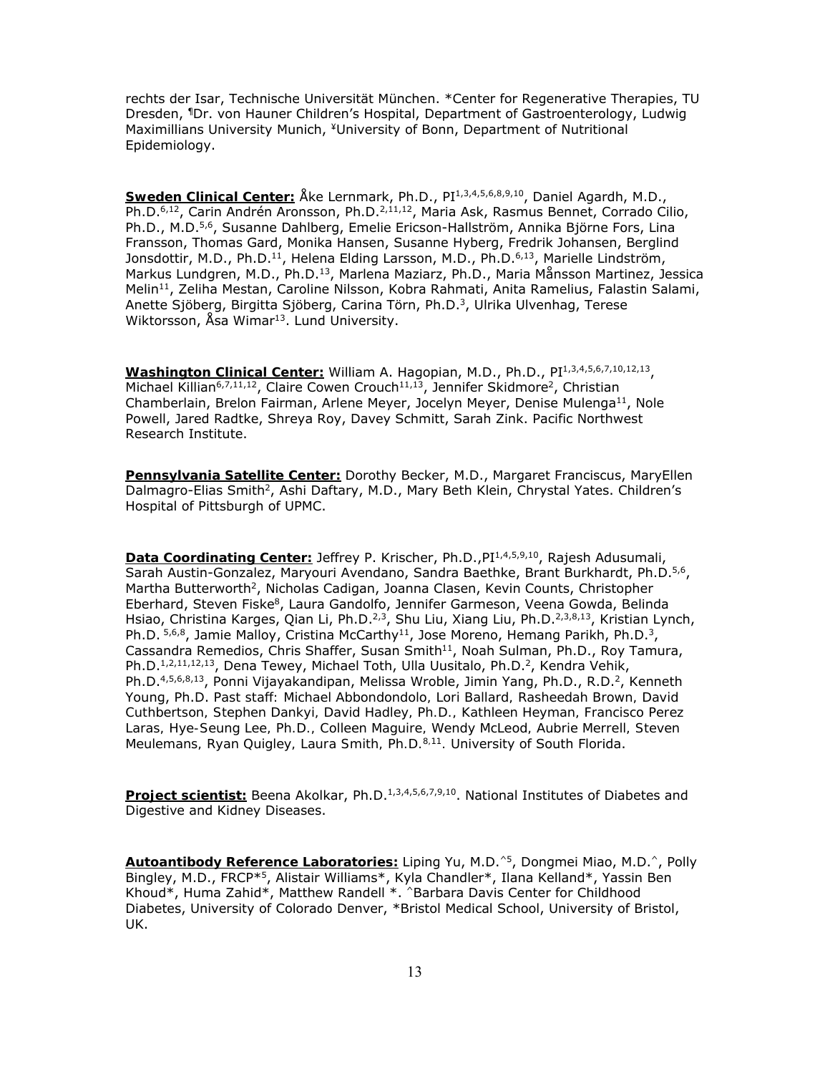rechts der Isar, Technische Universität München. \*Center for Regenerative Therapies, TU Dresden, ¶Dr. von Hauner Children's Hospital, Department of Gastroenterology, Ludwig Maximillians University Munich, ¥University of Bonn, Department of Nutritional Epidemiology.

Sweden Clinical Center: Åke Lernmark, Ph.D., PI<sup>1,3,4,5,6,8,9,10</sup>, Daniel Agardh, M.D., Ph.D.<sup>6,12</sup>, Carin Andrén Aronsson, Ph.D.<sup>2,11,12</sup>, Maria Ask, Rasmus Bennet, Corrado Cilio, Ph.D., M.D.<sup>5,6</sup>, Susanne Dahlberg, Emelie Ericson-Hallström, Annika Björne Fors, Lina Fransson, Thomas Gard, Monika Hansen, Susanne Hyberg, Fredrik Johansen, Berglind Jonsdottir, M.D., Ph.D.<sup>11</sup>, Helena Elding Larsson, M.D., Ph.D.<sup>6,13</sup>, Marielle Lindström, Markus Lundgren, M.D., Ph.D.<sup>13</sup>, Marlena Maziarz, Ph.D., Maria Månsson Martinez, Jessica Melin<sup>11</sup>, Zeliha Mestan, Caroline Nilsson, Kobra Rahmati, Anita Ramelius, Falastin Salami, Anette Sjöberg, Birgitta Sjöberg, Carina Törn, Ph.D.3, Ulrika Ulvenhag, Terese Wiktorsson, Åsa Wimar<sup>13</sup>. Lund University.

**Washington Clinical Center:** William A. Hagopian, M.D., Ph.D., PI1,3,4,5,6,7,10,12,13, Michael Killian<sup>6,7,11,12</sup>, Claire Cowen Crouch<sup>11,13</sup>, Jennifer Skidmore<sup>2</sup>, Christian Chamberlain, Brelon Fairman, Arlene Meyer, Jocelyn Meyer, Denise Mulenga<sup>11</sup>, Nole Powell, Jared Radtke, Shreya Roy, Davey Schmitt, Sarah Zink. Pacific Northwest Research Institute.

**Pennsylvania Satellite Center:** Dorothy Becker, M.D., Margaret Franciscus, MaryEllen Dalmagro-Elias Smith<sup>2</sup>, Ashi Daftary, M.D., Mary Beth Klein, Chrystal Yates. Children's Hospital of Pittsburgh of UPMC.

**Data Coordinating Center:** Jeffrey P. Krischer, Ph.D., PI<sup>1,4,5,9,10</sup>, Rajesh Adusumali, Sarah Austin-Gonzalez, Maryouri Avendano, Sandra Baethke, Brant Burkhardt, Ph.D.5,6, Martha Butterworth<sup>2</sup>, Nicholas Cadigan, Joanna Clasen, Kevin Counts, Christopher Eberhard, Steven Fiske<sup>8</sup>, Laura Gandolfo, Jennifer Garmeson, Veena Gowda, Belinda Hsiao, Christina Karges, Qian Li, Ph.D.<sup>2,3</sup>, Shu Liu, Xiang Liu, Ph.D.<sup>2,3,8,13</sup>, Kristian Lynch, Ph.D.  $5,6,8$ , Jamie Malloy, Cristina McCarthy<sup>11</sup>, Jose Moreno, Hemang Parikh, Ph.D.<sup>3</sup>, Cassandra Remedios, Chris Shaffer, Susan Smith<sup>11</sup>, Noah Sulman, Ph.D., Roy Tamura, Ph.D.<sup>1,2,11,12,13</sup>, Dena Tewey, Michael Toth, Ulla Uusitalo, Ph.D.<sup>2</sup>, Kendra Vehik, Ph.D.<sup>4,5,6,8,13</sup>, Ponni Vijayakandipan, Melissa Wroble, Jimin Yang, Ph.D., R.D.<sup>2</sup>, Kenneth Young, Ph.D. *Past staff: Michael Abbondondolo, Lori Ballard, Rasheedah Brown, David Cuthbertson, Stephen Dankyi, David Hadley, Ph.D., Kathleen Heyman, Francisco Perez*  Laras, Hye-Seung Lee, Ph.D., Colleen Maguire, Wendy McLeod, Aubrie Merrell, Steven *Meulemans, Ryan Quigley, Laura Smith, Ph.D.8,11.* University of South Florida.

**Project scientist:** Beena Akolkar, Ph.D.<sup>1,3,4,5,6,7,9,10</sup>. National Institutes of Diabetes and Digestive and Kidney Diseases.

**Autoantibody Reference Laboratories:** Liping Yu, M.D.^5, Dongmei Miao, M.D.^, Polly Bingley, M.D., FRCP\*5, Alistair Williams\*, Kyla Chandler\*, Ilana Kelland\*, Yassin Ben Khoud\*, Huma Zahid\*, Matthew Randell \*. ^Barbara Davis Center for Childhood Diabetes, University of Colorado Denver, \*Bristol Medical School, University of Bristol, UK.